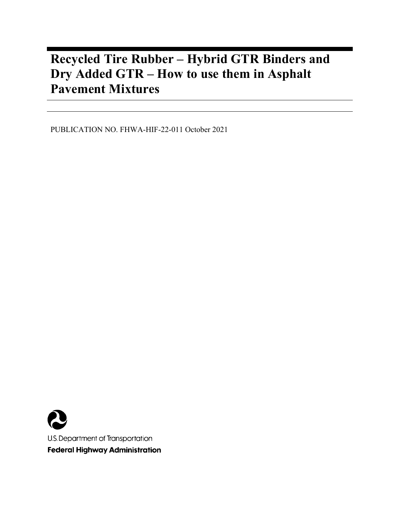# **Recycled Tire Rubber – Hybrid GTR Binders and Dry Added GTR – How to use them in Asphalt Pavement Mixtures**

PUBLICATION NO. FHWA-HIF-22-011 October 2021

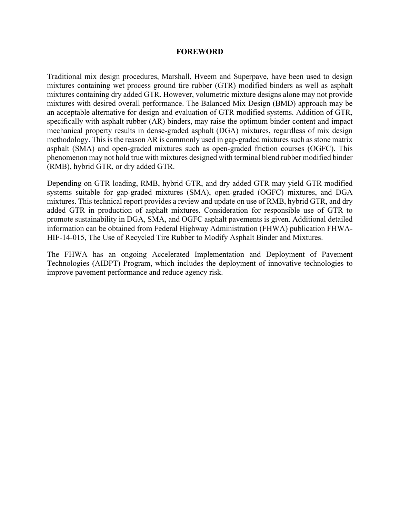#### **FOREWORD**

Traditional mix design procedures, Marshall, Hveem and Superpave, have been used to design mixtures containing wet process ground tire rubber (GTR) modified binders as well as asphalt mixtures containing dry added GTR. However, volumetric mixture designs alone may not provide mixtures with desired overall performance. The Balanced Mix Design (BMD) approach may be an acceptable alternative for design and evaluation of GTR modified systems. Addition of GTR, specifically with asphalt rubber (AR) binders, may raise the optimum binder content and impact mechanical property results in dense-graded asphalt (DGA) mixtures, regardless of mix design methodology. This is the reason AR is commonly used in gap-graded mixtures such as stone matrix asphalt (SMA) and open-graded mixtures such as open-graded friction courses (OGFC). This phenomenon may not hold true with mixtures designed with terminal blend rubber modified binder (RMB), hybrid GTR, or dry added GTR.

Depending on GTR loading, RMB, hybrid GTR, and dry added GTR may yield GTR modified systems suitable for gap-graded mixtures (SMA), open-graded (OGFC) mixtures, and DGA mixtures. This technical report provides a review and update on use of RMB, hybrid GTR, and dry added GTR in production of asphalt mixtures. Consideration for responsible use of GTR to promote sustainability in DGA, SMA, and OGFC asphalt pavements is given. Additional detailed information can be obtained from Federal Highway Administration (FHWA) publication FHWA-HIF-14-015, The Use of Recycled Tire Rubber to Modify Asphalt Binder and Mixtures.

The FHWA has an ongoing Accelerated Implementation and Deployment of Pavement Technologies (AIDPT) Program, which includes the deployment of innovative technologies to improve pavement performance and reduce agency risk.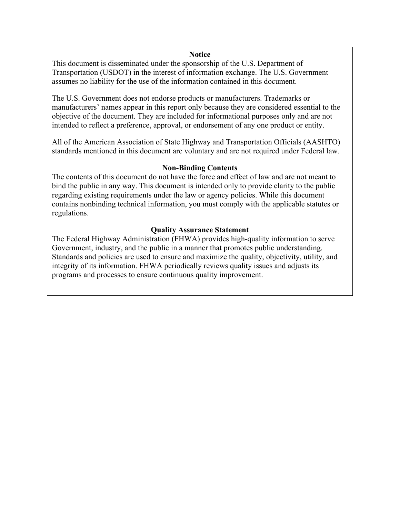#### **Notice**

This document is disseminated under the sponsorship of the U.S. Department of Transportation (USDOT) in the interest of information exchange. The U.S. Government assumes no liability for the use of the information contained in this document.

The U.S. Government does not endorse products or manufacturers. Trademarks or manufacturers' names appear in this report only because they are considered essential to the objective of the document. They are included for informational purposes only and are not intended to reflect a preference, approval, or endorsement of any one product or entity.

All of the American Association of State Highway and Transportation Officials (AASHTO) standards mentioned in this document are voluntary and are not required under Federal law.

#### **Non-Binding Contents**

The contents of this document do not have the force and effect of law and are not meant to bind the public in any way. This document is intended only to provide clarity to the public regarding existing requirements under the law or agency policies. While this document contains nonbinding technical information, you must comply with the applicable statutes or regulations.

#### **Quality Assurance Statement**

The Federal Highway Administration (FHWA) provides high-quality information to serve Government, industry, and the public in a manner that promotes public understanding. Standards and policies are used to ensure and maximize the quality, objectivity, utility, and integrity of its information. FHWA periodically reviews quality issues and adjusts its programs and processes to ensure continuous quality improvement.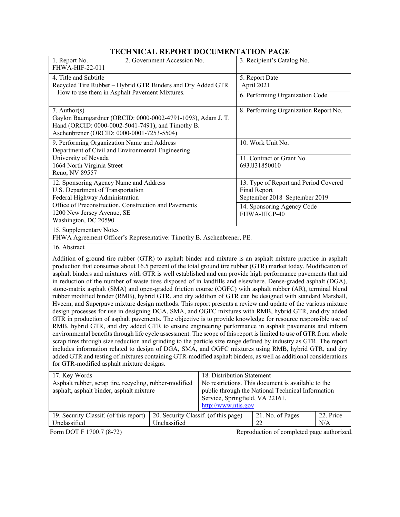## **TECHNICAL REPORT DOCUMENTATION PAGE**

|                                                                                                                                                                                                                                                                                                                                                                                                                                                                                                                                                                                                                                                                                                                                                                                                                                                                                                                                                                                                                                                                                                                                                                                                                                                                                                                                                                                                                                                                                                                                                                                                                                                                                   | LECHINICAL KEI UNT DOCUMENTATION LAGE                                 |                                                                                                                                                                                                 |                                                                                        |  |
|-----------------------------------------------------------------------------------------------------------------------------------------------------------------------------------------------------------------------------------------------------------------------------------------------------------------------------------------------------------------------------------------------------------------------------------------------------------------------------------------------------------------------------------------------------------------------------------------------------------------------------------------------------------------------------------------------------------------------------------------------------------------------------------------------------------------------------------------------------------------------------------------------------------------------------------------------------------------------------------------------------------------------------------------------------------------------------------------------------------------------------------------------------------------------------------------------------------------------------------------------------------------------------------------------------------------------------------------------------------------------------------------------------------------------------------------------------------------------------------------------------------------------------------------------------------------------------------------------------------------------------------------------------------------------------------|-----------------------------------------------------------------------|-------------------------------------------------------------------------------------------------------------------------------------------------------------------------------------------------|----------------------------------------------------------------------------------------|--|
| 1. Report No.<br>FHWA-HIF-22-011                                                                                                                                                                                                                                                                                                                                                                                                                                                                                                                                                                                                                                                                                                                                                                                                                                                                                                                                                                                                                                                                                                                                                                                                                                                                                                                                                                                                                                                                                                                                                                                                                                                  | 2. Government Accession No.                                           |                                                                                                                                                                                                 | 3. Recipient's Catalog No.                                                             |  |
| 4. Title and Subtitle<br>Recycled Tire Rubber - Hybrid GTR Binders and Dry Added GTR                                                                                                                                                                                                                                                                                                                                                                                                                                                                                                                                                                                                                                                                                                                                                                                                                                                                                                                                                                                                                                                                                                                                                                                                                                                                                                                                                                                                                                                                                                                                                                                              |                                                                       |                                                                                                                                                                                                 | 5. Report Date<br>April 2021                                                           |  |
| - How to use them in Asphalt Pavement Mixtures.                                                                                                                                                                                                                                                                                                                                                                                                                                                                                                                                                                                                                                                                                                                                                                                                                                                                                                                                                                                                                                                                                                                                                                                                                                                                                                                                                                                                                                                                                                                                                                                                                                   |                                                                       |                                                                                                                                                                                                 | 6. Performing Organization Code                                                        |  |
| 7. Author( $s$ )<br>Gaylon Baumgardner (ORCID: 0000-0002-4791-1093), Adam J. T.<br>Hand (ORCID: 0000-0002-5041-7491), and Timothy B.<br>Aschenbrener (ORCID: 0000-0001-7253-5504)                                                                                                                                                                                                                                                                                                                                                                                                                                                                                                                                                                                                                                                                                                                                                                                                                                                                                                                                                                                                                                                                                                                                                                                                                                                                                                                                                                                                                                                                                                 |                                                                       |                                                                                                                                                                                                 | 8. Performing Organization Report No.                                                  |  |
| 9. Performing Organization Name and Address                                                                                                                                                                                                                                                                                                                                                                                                                                                                                                                                                                                                                                                                                                                                                                                                                                                                                                                                                                                                                                                                                                                                                                                                                                                                                                                                                                                                                                                                                                                                                                                                                                       | Department of Civil and Environmental Engineering                     |                                                                                                                                                                                                 | 10. Work Unit No.                                                                      |  |
| University of Nevada<br>1664 North Virginia Street<br>Reno, NV 89557                                                                                                                                                                                                                                                                                                                                                                                                                                                                                                                                                                                                                                                                                                                                                                                                                                                                                                                                                                                                                                                                                                                                                                                                                                                                                                                                                                                                                                                                                                                                                                                                              |                                                                       |                                                                                                                                                                                                 | 11. Contract or Grant No.<br>693JJ31850010                                             |  |
| 12. Sponsoring Agency Name and Address<br>U.S. Department of Transportation<br>Federal Highway Administration                                                                                                                                                                                                                                                                                                                                                                                                                                                                                                                                                                                                                                                                                                                                                                                                                                                                                                                                                                                                                                                                                                                                                                                                                                                                                                                                                                                                                                                                                                                                                                     |                                                                       |                                                                                                                                                                                                 | 13. Type of Report and Period Covered<br>Final Report<br>September 2018-September 2019 |  |
| Office of Preconstruction, Construction and Pavements<br>1200 New Jersey Avenue, SE<br>Washington, DC 20590                                                                                                                                                                                                                                                                                                                                                                                                                                                                                                                                                                                                                                                                                                                                                                                                                                                                                                                                                                                                                                                                                                                                                                                                                                                                                                                                                                                                                                                                                                                                                                       |                                                                       |                                                                                                                                                                                                 | 14. Sponsoring Agency Code<br>FHWA-HICP-40                                             |  |
| 15. Supplementary Notes                                                                                                                                                                                                                                                                                                                                                                                                                                                                                                                                                                                                                                                                                                                                                                                                                                                                                                                                                                                                                                                                                                                                                                                                                                                                                                                                                                                                                                                                                                                                                                                                                                                           | FHWA Agreement Officer's Representative: Timothy B. Aschenbrener, PE. |                                                                                                                                                                                                 |                                                                                        |  |
| 16. Abstract<br>Addition of ground tire rubber (GTR) to asphalt binder and mixture is an asphalt mixture practice in asphalt<br>production that consumes about 16.5 percent of the total ground tire rubber (GTR) market today. Modification of<br>asphalt binders and mixtures with GTR is well established and can provide high performance pavements that aid<br>in reduction of the number of waste tires disposed of in landfills and elsewhere. Dense-graded asphalt (DGA),<br>stone-matrix asphalt (SMA) and open-graded friction course (OGFC) with asphalt rubber (AR), terminal blend<br>rubber modified binder (RMB), hybrid GTR, and dry addition of GTR can be designed with standard Marshall,<br>Hveem, and Superpave mixture design methods. This report presents a review and update of the various mixture<br>design processes for use in designing DGA, SMA, and OGFC mixtures with RMB, hybrid GTR, and dry added<br>GTR in production of asphalt pavements. The objective is to provide knowledge for resource responsible use of<br>RMB, hybrid GTR, and dry added GTR to ensure engineering performance in asphalt pavements and inform<br>environmental benefits through life cycle assessment. The scope of this report is limited to use of GTR from whole<br>scrap tires through size reduction and grinding to the particle size range defined by industry as GTR. The report<br>includes information related to design of DGA, SMA, and OGFC mixtures using RMB, hybrid GTR, and dry<br>added GTR and testing of mixtures containing GTR-modified asphalt binders, as well as additional considerations<br>for GTR-modified asphalt mixture designs. |                                                                       |                                                                                                                                                                                                 |                                                                                        |  |
| 17. Key Words<br>asphalt, asphalt binder, asphalt mixture                                                                                                                                                                                                                                                                                                                                                                                                                                                                                                                                                                                                                                                                                                                                                                                                                                                                                                                                                                                                                                                                                                                                                                                                                                                                                                                                                                                                                                                                                                                                                                                                                         | Asphalt rubber, scrap tire, recycling, rubber-modified                | 18. Distribution Statement<br>No restrictions. This document is available to the<br>public through the National Technical Information<br>Service, Springfield, VA 22161.<br>http://www.ntis.gov |                                                                                        |  |
|                                                                                                                                                                                                                                                                                                                                                                                                                                                                                                                                                                                                                                                                                                                                                                                                                                                                                                                                                                                                                                                                                                                                                                                                                                                                                                                                                                                                                                                                                                                                                                                                                                                                                   |                                                                       |                                                                                                                                                                                                 |                                                                                        |  |

| 19. Security Classif. (of this report) 20. Security Classif. (of this page) |              | $\vert$ 21. No. of Pages | $\vert$ 22. Price |
|-----------------------------------------------------------------------------|--------------|--------------------------|-------------------|
| Unclassified                                                                | Unclassified |                          | N/A               |

Form DOT F 1700.7 (8-72) Reproduction of completed page authorized.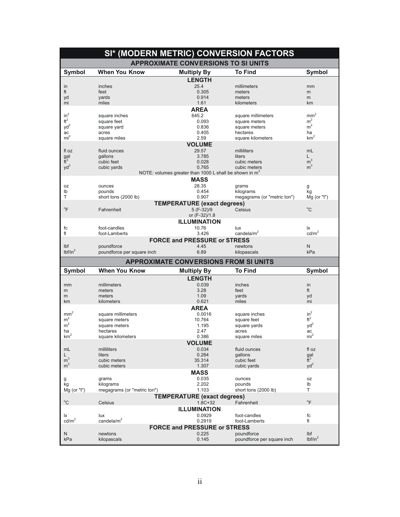| SI* (MODERN METRIC) CONVERSION FACTORS |                             |                                                                    |                                          |                                 |
|----------------------------------------|-----------------------------|--------------------------------------------------------------------|------------------------------------------|---------------------------------|
|                                        |                             | <b>APPROXIMATE CONVERSIONS TO SI UNITS</b>                         |                                          |                                 |
| Symbol                                 | <b>When You Know</b>        | <b>Multiply By</b>                                                 | <b>To Find</b>                           | <b>Symbol</b>                   |
|                                        |                             | <b>LENGTH</b>                                                      |                                          |                                 |
| in                                     | inches                      | 25.4                                                               | millimeters                              | mm                              |
| ft                                     | feet                        | 0.305                                                              | meters                                   | m                               |
| yd                                     | yards                       | 0.914                                                              | meters                                   | m                               |
| mi                                     | miles                       | 1.61                                                               | kilometers                               | km                              |
|                                        |                             | <b>AREA</b>                                                        |                                          |                                 |
| $in^2$<br>$ft^2$                       | square inches               | 645.2                                                              | square millimeters                       | $\mbox{mm}^2$<br>m <sup>2</sup> |
| yd <sup>2</sup>                        | square feet                 | 0.093<br>0.836                                                     | square meters<br>square meters           | m <sup>2</sup>                  |
| ac                                     | square yard<br>acres        | 0.405                                                              | hectares                                 | ha                              |
| mi <sup>2</sup>                        | square miles                | 2.59                                                               | square kilometers                        | km <sup>2</sup>                 |
|                                        |                             | <b>VOLUME</b>                                                      |                                          |                                 |
| fl oz                                  | fluid ounces                | 29.57                                                              | milliliters                              | mL                              |
| gal                                    | gallons                     | 3.785                                                              | liters                                   | L                               |
| $\tilde{f}$ <sup>3</sup>               | cubic feet                  | 0.028                                                              | cubic meters                             | m <sup>3</sup>                  |
| $yd^3$                                 | cubic yards                 | 0.765                                                              | cubic meters                             | m <sup>3</sup>                  |
|                                        |                             | NOTE: volumes greater than 1000 L shall be shown in m <sup>3</sup> |                                          |                                 |
|                                        |                             | <b>MASS</b>                                                        |                                          |                                 |
| 0Z                                     | ounces                      | 28.35                                                              | grams                                    | g                               |
| lb                                     | pounds                      | 0.454                                                              | kilograms                                | kg                              |
| Т                                      | short tons (2000 lb)        | 0.907                                                              | megagrams (or "metric ton")              | $Mg$ (or "t")                   |
|                                        |                             | <b>TEMPERATURE (exact degrees)</b>                                 |                                          |                                 |
| $\mathrm{P}$                           | Fahrenheit                  | 5 (F-32)/9                                                         | Celsius                                  | $^{\circ}$ C                    |
|                                        |                             | or (F-32)/1.8                                                      |                                          |                                 |
|                                        |                             | <b>ILLUMINATION</b>                                                |                                          |                                 |
| fc                                     | foot-candles                | 10.76                                                              | lux                                      | lχ                              |
| fl                                     | foot-Lamberts               | 3.426                                                              | candela/m <sup>2</sup>                   | cd/m <sup>2</sup>               |
|                                        |                             | <b>FORCE and PRESSURE or STRESS</b>                                |                                          |                                 |
| Ibf                                    | poundforce                  | 4.45                                                               | newtons                                  | N                               |
|                                        |                             |                                                                    |                                          |                                 |
| lbf/in <sup>2</sup>                    | poundforce per square inch  | 6.89                                                               | kilopascals                              | kPa                             |
|                                        |                             | <b>APPROXIMATE CONVERSIONS FROM SI UNITS</b>                       |                                          |                                 |
|                                        | <b>When You Know</b>        |                                                                    | <b>To Find</b>                           | <b>Symbol</b>                   |
| <b>Symbol</b>                          |                             | <b>Multiply By</b>                                                 |                                          |                                 |
|                                        |                             | <b>LENGTH</b>                                                      |                                          |                                 |
| mm<br>m                                | millimeters<br>meters       | 0.039<br>3.28                                                      | inches<br>feet                           | in<br>ft                        |
| m                                      | meters                      | 1.09                                                               | yards                                    | yd                              |
| km                                     | kilometers                  | 0.621                                                              | miles                                    | mi                              |
|                                        |                             | AREA                                                               |                                          |                                 |
| mm                                     | square millimeters          | 0.0016                                                             | square inches                            | $in^2$                          |
| m <sup>2</sup>                         | square meters               | 10.764                                                             | square feet                              | $ft^2$                          |
| m <sup>2</sup>                         | square meters               | 1.195                                                              | square yards                             | $yd^2$                          |
| ha                                     | hectares                    | 2.47                                                               | acres                                    | ac                              |
| $\mbox{km}^2$                          | square kilometers           | 0.386                                                              | square miles                             | mi <sup>2</sup>                 |
|                                        |                             | <b>VOLUME</b>                                                      |                                          |                                 |
| mL                                     | milliliters                 | 0.034                                                              | fluid ounces                             | fl oz                           |
| L                                      | liters                      | 0.264                                                              | qallons                                  | gal                             |
| m <sup>3</sup>                         | cubic meters                | 35.314                                                             | cubic feet                               | $\tilde{f}$ <sup>3</sup>        |
| m <sup>3</sup>                         | cubic meters                | 1.307                                                              | cubic yards                              | $yd^3$                          |
|                                        |                             | <b>MASS</b>                                                        |                                          |                                 |
| g                                      | grams<br>kilograms          | 0.035<br>2.202                                                     | ounces<br>pounds                         | oz<br>lb                        |
| kg<br>Mg (or "t")                      | megagrams (or "metric ton") | 1.103                                                              | short tons (2000 lb)                     | Τ                               |
|                                        |                             | <b>TEMPERATURE (exact degrees)</b>                                 |                                          |                                 |
| $^{\circ}$ C                           | Celsius                     | $1.8C + 32$                                                        | Fahrenheit                               | $\overline{F}$                  |
|                                        |                             | <b>ILLUMINATION</b>                                                |                                          |                                 |
| lχ                                     | lux                         | 0.0929                                                             | foot-candles                             | fc                              |
| $\text{cd/m}^2$                        | candela/m <sup>2</sup>      | 0.2919                                                             | foot-Lamberts                            | fl                              |
|                                        |                             | <b>FORCE and PRESSURE or STRESS</b>                                |                                          |                                 |
| N<br>kPa                               | newtons<br>kilopascals      | 0.225<br>0.145                                                     | poundforce<br>poundforce per square inch | lbf<br>lbf/in <sup>2</sup>      |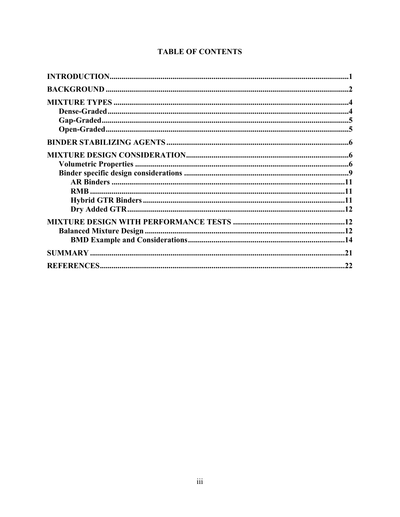| .22 |
|-----|

## **TABLE OF CONTENTS**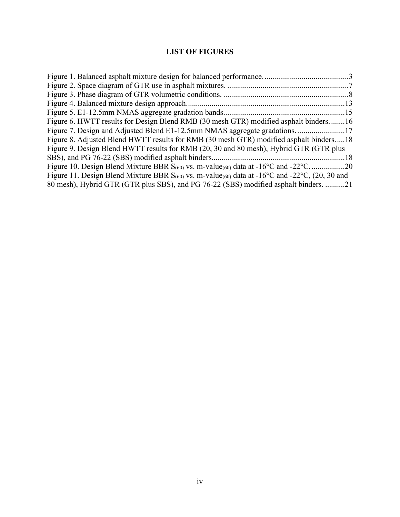## **LIST OF FIGURES**

| Figure 6. HWTT results for Design Blend RMB (30 mesh GTR) modified asphalt binders16                                          |  |
|-------------------------------------------------------------------------------------------------------------------------------|--|
|                                                                                                                               |  |
| Figure 8. Adjusted Blend HWTT results for RMB (30 mesh GTR) modified asphalt binders18                                        |  |
| Figure 9. Design Blend HWTT results for RMB (20, 30 and 80 mesh), Hybrid GTR (GTR plus                                        |  |
|                                                                                                                               |  |
| Figure 10. Design Blend Mixture BBR $S_{(60)}$ vs. m-value $_{(60)}$ data at -16 <sup>o</sup> C and -22 <sup>o</sup> C20      |  |
| Figure 11. Design Blend Mixture BBR $S_{(60)}$ vs. m-value(60) data at -16 <sup>o</sup> C and -22 <sup>o</sup> C, (20, 30 and |  |
| 80 mesh), Hybrid GTR (GTR plus SBS), and PG 76-22 (SBS) modified asphalt binders. 21                                          |  |
|                                                                                                                               |  |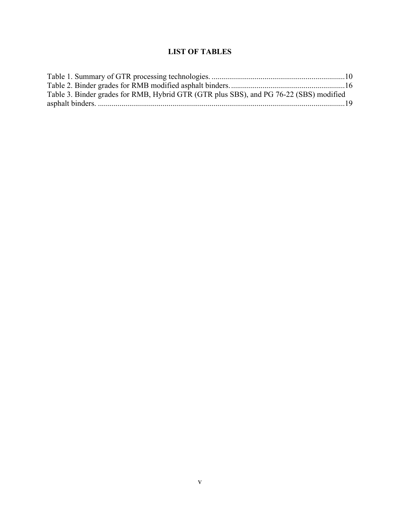## **LIST OF TABLES**

| Table 3. Binder grades for RMB, Hybrid GTR (GTR plus SBS), and PG 76-22 (SBS) modified |  |
|----------------------------------------------------------------------------------------|--|
|                                                                                        |  |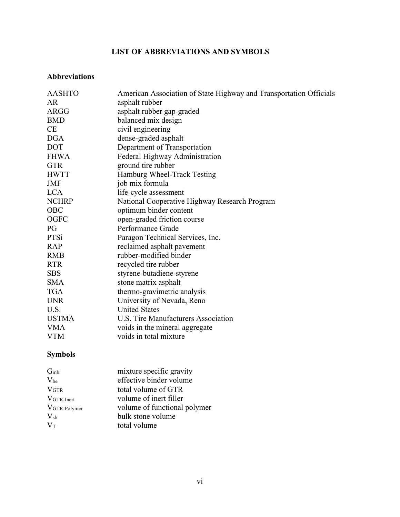## **LIST OF ABBREVIATIONS AND SYMBOLS**

### **Abbreviations**

| <b>AASHTO</b><br>AR | American Association of State Highway and Transportation Officials |
|---------------------|--------------------------------------------------------------------|
|                     | asphalt rubber                                                     |
| <b>ARGG</b>         | asphalt rubber gap-graded                                          |
| <b>BMD</b>          | balanced mix design                                                |
| CE                  | civil engineering                                                  |
| <b>DGA</b>          | dense-graded asphalt                                               |
| <b>DOT</b>          | Department of Transportation                                       |
| <b>FHWA</b>         | Federal Highway Administration                                     |
| <b>GTR</b>          | ground tire rubber                                                 |
| <b>HWTT</b>         | Hamburg Wheel-Track Testing                                        |
| JMF                 | job mix formula                                                    |
| <b>LCA</b>          | life-cycle assessment                                              |
| <b>NCHRP</b>        | National Cooperative Highway Research Program                      |
| OBC                 | optimum binder content                                             |
| <b>OGFC</b>         | open-graded friction course                                        |
| PG                  | Performance Grade                                                  |
| PTSi                | Paragon Technical Services, Inc.                                   |
| <b>RAP</b>          | reclaimed asphalt pavement                                         |
| <b>RMB</b>          | rubber-modified binder                                             |
| <b>RTR</b>          | recycled tire rubber                                               |
| <b>SBS</b>          | styrene-butadiene-styrene                                          |
| <b>SMA</b>          | stone matrix asphalt                                               |
| <b>TGA</b>          | thermo-gravimetric analysis                                        |
| <b>UNR</b>          | University of Nevada, Reno                                         |
| U.S.                | <b>United States</b>                                               |
| <b>USTMA</b>        | U.S. Tire Manufacturers Association                                |
| <b>VMA</b>          |                                                                    |
| <b>VTM</b>          | voids in total mixture                                             |
|                     | voids in the mineral aggregate                                     |

## **Symbols**

| G <sub>mb</sub>  | mixture specific gravity     |
|------------------|------------------------------|
| $V_{be}$         | effective binder volume      |
| V <sub>GTR</sub> | total volume of GTR          |
| VGTR-Inert       | volume of inert filler       |
| VGTR-Polymer     | volume of functional polymer |
| $V_{sb}$         | bulk stone volume            |
| $V_T$            | total volume                 |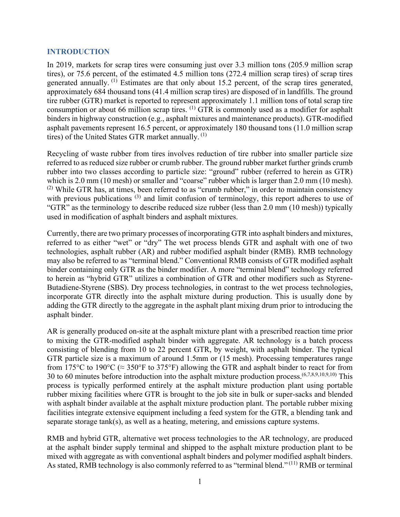#### **INTRODUCTION**

In 2019, markets for scrap tires were consuming just over 3.3 million tons (205.9 million scrap tires), or 75.6 percent, of the estimated 4.5 million tons (272.4 million scrap tires) of scrap tires generated annually. <sup>(1)</sup> Estimates are that only about 15.2 percent, of the scrap tires generated, approximately 684 thousand tons (41.4 million scrap tires) are disposed of in landfills. The ground tire rubber (GTR) market is reported to represent approximately 1.1 million tons of total scrap tire consumption or about 66 million scrap tires.  $^{(1)}$  GTR is commonly used as a modifier for asphalt binders in highway construction (e.g., asphalt mixtures and maintenance products). GTR-modified asphalt pavements represent 16.5 percent, or approximately 180 thousand tons (11.0 million scrap tires) of the United States GTR market annually.  $(1)$ 

Recycling of waste rubber from tires involves reduction of tire rubber into smaller particle size referred to as reduced size rubber or crumb rubber. The ground rubber market further grinds crumb rubber into two classes according to particle size: "ground" rubber (referred to herein as GTR) which is 2.0 mm (10 mesh) or smaller and "coarse" rubber which is larger than 2.0 mm (10 mesh).<br><sup>(2)</sup> While GTR has, at times, been referred to as "crumb rubber," in order to maintain consistency with previous publications  $(3)$  and limit confusion of terminology, this report adheres to use of "GTR" as the terminology to describe reduced size rubber (less than 2.0 mm (10 mesh)) typically used in modification of asphalt binders and asphalt mixtures.

Currently, there are two primary processes of incorporating GTR into asphalt binders and mixtures, referred to as either "wet" or "dry" The wet process blends GTR and asphalt with one of two technologies, asphalt rubber (AR) and rubber modified asphalt binder (RMB). RMB technology may also be referred to as "terminal blend." Conventional RMB consists of GTR modified asphalt binder containing only GTR as the binder modifier. A more "terminal blend" technology referred to herein as "hybrid GTR" utilizes a combination of GTR and other modifiers such as Styrene-Butadiene-Styrene (SBS). Dry process technologies, in contrast to the wet process technologies, incorporate GTR directly into the asphalt mixture during production. This is usually done by adding the GTR directly to the aggregate in the asphalt plant mixing drum prior to introducing the asphalt binder.

AR is generally produced on-site at the asphalt mixture plant with a prescribed reaction time prior to mixing the GTR-modified asphalt binder with aggregate. AR technology is a batch process consisting of blending from 10 to 22 percent GTR, by weight, with asphalt binder. The typical GTR particle size is a maximum of around 1.5mm or (15 mesh). Processing temperatures range from 175°C to 190°C ( $\approx$  350°F to 375°F) allowing the GTR and asphalt binder to react for from 30 to 60 minutes before introduction into the asphalt mixture production process.(6,7,8,9,10,9,10) This process is typically performed entirely at the asphalt mixture production plant using portable rubber mixing facilities where GTR is brought to the job site in bulk or super-sacks and blended with asphalt binder available at the asphalt mixture production plant. The portable rubber mixing facilities integrate extensive equipment including a feed system for the GTR, a blending tank and separate storage tank(s), as well as a heating, metering, and emissions capture systems.

RMB and hybrid GTR, alternative wet process technologies to the AR technology, are produced at the asphalt binder supply terminal and shipped to the asphalt mixture production plant to be mixed with aggregate as with conventional asphalt binders and polymer modified asphalt binders. As stated, RMB technology is also commonly referred to as "terminal blend."<sup>(11)</sup> RMB or terminal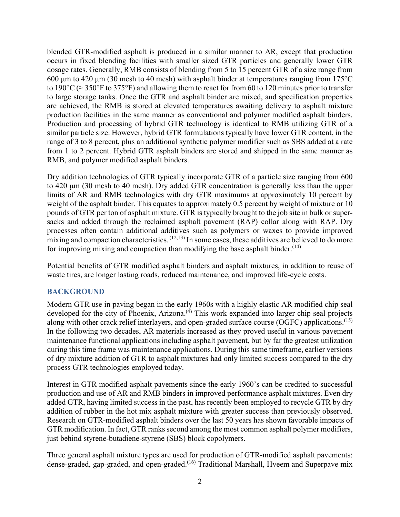blended GTR-modified asphalt is produced in a similar manner to AR, except that production occurs in fixed blending facilities with smaller sized GTR particles and generally lower GTR dosage rates. Generally, RMB consists of blending from 5 to 15 percent GTR of a size range from 600 μm to 420 μm (30 mesh to 40 mesh) with asphalt binder at temperatures ranging from  $175^{\circ}$ C to 190 $\rm{^{\circ}C}$  ( $\approx$  350 $\rm{^{\circ}F}$  to 375 $\rm{^{\circ}F}$ ) and allowing them to react for from 60 to 120 minutes prior to transfer to large storage tanks. Once the GTR and asphalt binder are mixed, and specification properties are achieved, the RMB is stored at elevated temperatures awaiting delivery to asphalt mixture production facilities in the same manner as conventional and polymer modified asphalt binders. Production and processing of hybrid GTR technology is identical to RMB utilizing GTR of a similar particle size. However, hybrid GTR formulations typically have lower GTR content, in the range of 3 to 8 percent, plus an additional synthetic polymer modifier such as SBS added at a rate from 1 to 2 percent. Hybrid GTR asphalt binders are stored and shipped in the same manner as RMB, and polymer modified asphalt binders.

Dry addition technologies of GTR typically incorporate GTR of a particle size ranging from 600 to 420 μm (30 mesh to 40 mesh). Dry added GTR concentration is generally less than the upper limits of AR and RMB technologies with dry GTR maximums at approximately 10 percent by weight of the asphalt binder. This equates to approximately 0.5 percent by weight of mixture or 10 pounds of GTR per ton of asphalt mixture. GTR is typically brought to the job site in bulk or supersacks and added through the reclaimed asphalt pavement (RAP) collar along with RAP. Dry processes often contain additional additives such as polymers or waxes to provide improved mixing and compaction characteristics.  $(12,13)$  In some cases, these additives are believed to do more for improving mixing and compaction than modifying the base asphalt binder.  $(14)$ 

Potential benefits of GTR modified asphalt binders and asphalt mixtures, in addition to reuse of waste tires, are longer lasting roads, reduced maintenance, and improved life-cycle costs.

#### **BACKGROUND**

Modern GTR use in paving began in the early 1960s with a highly elastic AR modified chip seal developed for the city of Phoenix, Arizona.<sup>(4)</sup> This work expanded into larger chip seal projects along with other crack relief interlayers, and open-graded surface course (OGFC) applications.<sup>(15)</sup> In the following two decades, AR materials increased as they proved useful in various pavement maintenance functional applications including asphalt pavement, but by far the greatest utilization during this time frame was maintenance applications. During this same timeframe, earlier versions of dry mixture addition of GTR to asphalt mixtures had only limited success compared to the dry process GTR technologies employed today.

Interest in GTR modified asphalt pavements since the early 1960's can be credited to successful production and use of AR and RMB binders in improved performance asphalt mixtures. Even dry added GTR, having limited success in the past, has recently been employed to recycle GTR by dry addition of rubber in the hot mix asphalt mixture with greater success than previously observed. Research on GTR-modified asphalt binders over the last 50 years has shown favorable impacts of GTR modification. In fact, GTR ranks second among the most common asphalt polymer modifiers, just behind styrene-butadiene-styrene (SBS) block copolymers.

Three general asphalt mixture types are used for production of GTR-modified asphalt pavements: dense-graded, gap-graded, and open-graded.<sup>(16)</sup> Traditional Marshall, Hveem and Superpave mix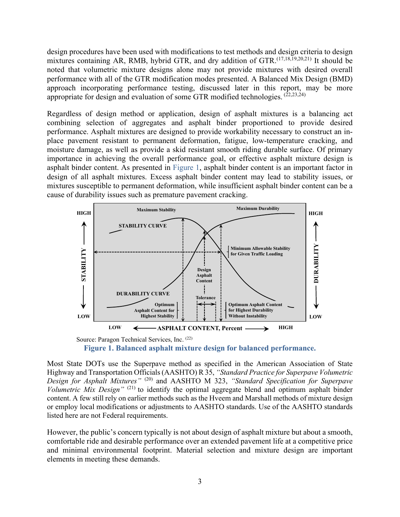design procedures have been used with modifications to test methods and design criteria to design mixtures containing AR, RMB, hybrid GTR, and dry addition of GTR.(17,18,19,20,21) It should be noted that volumetric mixture designs alone may not provide mixtures with desired overall performance with all of the GTR modification modes presented. A Balanced Mix Design (BMD) approach incorporating performance testing, discussed later in this report, may be more appropriate for design and evaluation of some GTR modified technologies.  $(22,23,24)$ 

Regardless of design method or application, design of asphalt mixtures is a balancing act combining selection of aggregates and asphalt binder proportioned to provide desired performance. Asphalt mixtures are designed to provide workability necessary to construct an inplace pavement resistant to permanent deformation, fatigue, low-temperature cracking, and moisture damage, as well as provide a skid resistant smooth riding durable surface. Of primary importance in achieving the overall performance goal, or effective asphalt mixture design is asphalt binder content. As presented in Figure 1, asphalt binder content is an important factor in design of all asphalt mixtures. Excess asphalt binder content may lead to stability issues, or mixtures susceptible to permanent deformation, while insufficient asphalt binder content can be a cause of durability issues such as premature pavement cracking.



Source: Paragon Technical Services, Inc. (22) **Figure 1. Balanced asphalt mixture design for balanced performance.**

Most State DOTs use the Superpave method as specified in the American Association of State Highway and Transportation Officials (AASHTO) R 35, *"Standard Practice for Superpave Volumetric Design for Asphalt Mixtures"* (20) and AASHTO M 323, *"Standard Specification for Superpave Volumetric Mix Design"* (21) to identify the optimal aggregate blend and optimum asphalt binder content. A few still rely on earlier methods such as the Hveem and Marshall methods of mixture design or employ local modifications or adjustments to AASHTO standards. Use of the AASHTO standards listed here are not Federal requirements.

However, the public's concern typically is not about design of asphalt mixture but about a smooth, comfortable ride and desirable performance over an extended pavement life at a competitive price and minimal environmental footprint. Material selection and mixture design are important elements in meeting these demands.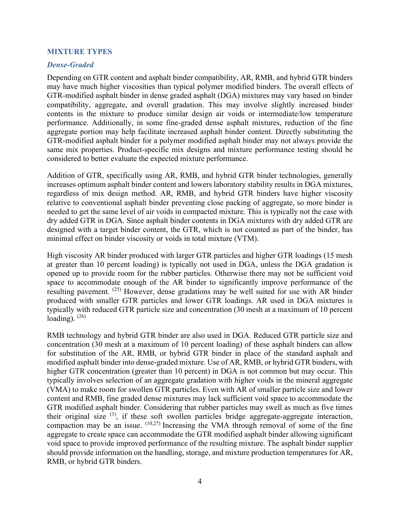#### **MIXTURE TYPES**

#### *Dense-Graded*

Depending on GTR content and asphalt binder compatibility, AR, RMB, and hybrid GTR binders may have much higher viscosities than typical polymer modified binders. The overall effects of GTR-modified asphalt binder in dense graded asphalt (DGA) mixtures may vary based on binder compatibility, aggregate, and overall gradation. This may involve slightly increased binder contents in the mixture to produce similar design air voids or intermediate/low temperature performance. Additionally, in some fine-graded dense asphalt mixtures, reduction of the fine aggregate portion may help facilitate increased asphalt binder content. Directly substituting the GTR-modified asphalt binder for a polymer modified asphalt binder may not always provide the same mix properties. Product-specific mix designs and mixture performance testing should be considered to better evaluate the expected mixture performance.

Addition of GTR, specifically using AR, RMB, and hybrid GTR binder technologies, generally increases optimum asphalt binder content and lowers laboratory stability results in DGA mixtures, regardless of mix design method. AR, RMB, and hybrid GTR binders have higher viscosity relative to conventional asphalt binder preventing close packing of aggregate, so more binder is needed to get the same level of air voids in compacted mixture. This is typically not the case with dry added GTR in DGA. Since asphalt binder contents in DGA mixtures with dry added GTR are designed with a target binder content, the GTR, which is not counted as part of the binder, has minimal effect on binder viscosity or voids in total mixture (VTM).

High viscosity AR binder produced with larger GTR particles and higher GTR loadings (15 mesh at greater than 10 percent loading) is typically not used in DGA, unless the DGA gradation is opened up to provide room for the rubber particles. Otherwise there may not be sufficient void space to accommodate enough of the AR binder to significantly improve performance of the resulting pavement. (25) However, dense gradations may be well suited for use with AR binder produced with smaller GTR particles and lower GTR loadings. AR used in DGA mixtures is typically with reduced GTR particle size and concentration (30 mesh at a maximum of 10 percent loading).  $(26)$ 

RMB technology and hybrid GTR binder are also used in DGA. Reduced GTR particle size and concentration (30 mesh at a maximum of 10 percent loading) of these asphalt binders can allow for substitution of the AR, RMB, or hybrid GTR binder in place of the standard asphalt and modified asphalt binder into dense-graded mixture. Use of AR, RMB, or hybrid GTR binders, with higher GTR concentration (greater than 10 percent) in DGA is not common but may occur. This typically involves selection of an aggregate gradation with higher voids in the mineral aggregate (VMA) to make room for swollen GTR particles. Even with AR of smaller particle size and lower content and RMB, fine graded dense mixtures may lack sufficient void space to accommodate the GTR modified asphalt binder. Considering that rubber particles may swell as much as five times their original size  $(3)$ , if these soft swollen particles bridge aggregate-aggregate interaction, compaction may be an issue.  $(10,27)$  Increasing the VMA through removal of some of the fine aggregate to create space can accommodate the GTR modified asphalt binder allowing significant void space to provide improved performance of the resulting mixture. The asphalt binder supplier should provide information on the handling, storage, and mixture production temperatures for AR, RMB, or hybrid GTR binders.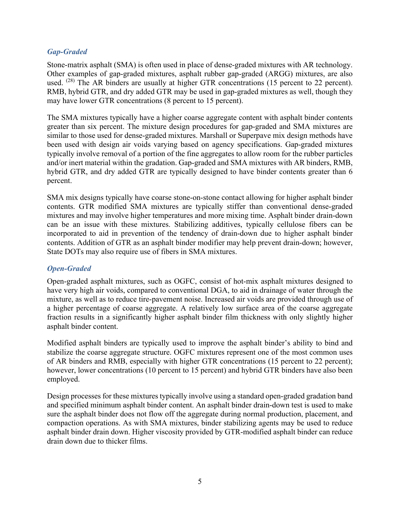#### *Gap-Graded*

Stone-matrix asphalt (SMA) is often used in place of dense-graded mixtures with AR technology. Other examples of gap-graded mixtures, asphalt rubber gap-graded (ARGG) mixtures, are also used. <sup>(28)</sup> The AR binders are usually at higher GTR concentrations (15 percent to 22 percent). RMB, hybrid GTR, and dry added GTR may be used in gap-graded mixtures as well, though they may have lower GTR concentrations (8 percent to 15 percent).

The SMA mixtures typically have a higher coarse aggregate content with asphalt binder contents greater than six percent. The mixture design procedures for gap-graded and SMA mixtures are similar to those used for dense-graded mixtures. Marshall or Superpave mix design methods have been used with design air voids varying based on agency specifications. Gap-graded mixtures typically involve removal of a portion of the fine aggregates to allow room for the rubber particles and/or inert material within the gradation. Gap-graded and SMA mixtures with AR binders, RMB, hybrid GTR, and dry added GTR are typically designed to have binder contents greater than 6 percent.

SMA mix designs typically have coarse stone-on-stone contact allowing for higher asphalt binder contents. GTR modified SMA mixtures are typically stiffer than conventional dense-graded mixtures and may involve higher temperatures and more mixing time. Asphalt binder drain-down can be an issue with these mixtures. Stabilizing additives, typically cellulose fibers can be incorporated to aid in prevention of the tendency of drain-down due to higher asphalt binder contents. Addition of GTR as an asphalt binder modifier may help prevent drain-down; however, State DOTs may also require use of fibers in SMA mixtures.

#### *Open-Graded*

Open-graded asphalt mixtures, such as OGFC, consist of hot-mix asphalt mixtures designed to have very high air voids, compared to conventional DGA, to aid in drainage of water through the mixture, as well as to reduce tire-pavement noise. Increased air voids are provided through use of a higher percentage of coarse aggregate. A relatively low surface area of the coarse aggregate fraction results in a significantly higher asphalt binder film thickness with only slightly higher asphalt binder content.

Modified asphalt binders are typically used to improve the asphalt binder's ability to bind and stabilize the coarse aggregate structure. OGFC mixtures represent one of the most common uses of AR binders and RMB, especially with higher GTR concentrations (15 percent to 22 percent); however, lower concentrations (10 percent to 15 percent) and hybrid GTR binders have also been employed.

Design processes for these mixtures typically involve using a standard open-graded gradation band and specified minimum asphalt binder content. An asphalt binder drain-down test is used to make sure the asphalt binder does not flow off the aggregate during normal production, placement, and compaction operations. As with SMA mixtures, binder stabilizing agents may be used to reduce asphalt binder drain down. Higher viscosity provided by GTR-modified asphalt binder can reduce drain down due to thicker films.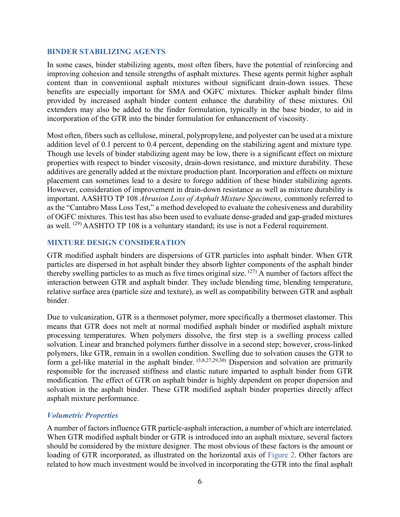#### **BINDER STABILIZING AGENTS**

In some cases, binder stabilizing agents, most often fibers, have the potential of reinforcing and improving cohesion and tensile strengths of asphalt mixtures. These agents permit higher asphalt content than in conventional asphalt mixtures without significant drain-down issues. These benefits are especially important for SMA and OGFC mixtures. Thicker asphalt binder films provided by increased asphalt binder content enhance the durability of these mixtures. Oil extenders may also be added to the finder formulation, typically in the base binder, to aid in incorporation of the GTR into the binder formulation for enhancement of viscosity.

Most often, fibers such as cellulose, mineral, polypropylene, and polyester can be used at a mixture addition level of 0.1 percent to 0.4 percent, depending on the stabilizing agent and mixture type. Though use levels of binder stabilizing agent may be low, there is a significant effect on mixture properties with respect to binder viscosity, drain-down resistance, and mixture durability. These additives are generally added at the mixture production plant. Incorporation and effects on mixture placement can sometimes lead to a desire to forego addition of these binder stabilizing agents. However, consideration of improvement in drain-down resistance as well as mixture durability is important. AASHTO TP 108 *Abrasion Loss of Asphalt Mixture Specimens,* commonly referred to as the "Cantabro Mass Loss Test," a method developed to evaluate the cohesiveness and durability of OGFC mixtures. This test has also been used to evaluate dense-graded and gap-graded mixtures as well.  $(29)$  AASHTO TP 108 is a voluntary standard; its use is not a Federal requirement.

#### **MIXTURE DESIGN CONSIDERATION**

GTR modified asphalt binders are dispersions of GTR particles into asphalt binder. When GTR particles are dispersed in hot asphalt binder they absorb lighter components of the asphalt binder thereby swelling particles to as much as five times original size.  $(27)$  A number of factors affect the interaction between GTR and asphalt binder. They include blending time, blending temperature, relative surface area (particle size and texture), as well as compatibility between GTR and asphalt binder.

Due to vulcanization, GTR is a thermoset polymer, more specifically a thermoset elastomer. This means that GTR does not melt at normal modified asphalt binder or modified asphalt mixture processing temperatures. When polymers dissolve, the first step is a swelling process called solvation. Linear and branched polymers further dissolve in a second step; however, cross-linked polymers, like GTR, remain in a swollen condition. Swelling due to solvation causes the GTR to form a gel-like material in the asphalt binder.  $(3,8,27,29,30)$  Dispersion and solvation are primarily responsible for the increased stiffness and elastic nature imparted to asphalt binder from GTR modification. The effect of GTR on asphalt binder is highly dependent on proper dispersion and solvation in the asphalt binder. These GTR modified asphalt binder properties directly affect asphalt mixture performance.

#### *Volumetric Properties*

A number of factors influence GTR particle-asphalt interaction, a number of which are interrelated. When GTR modified asphalt binder or GTR is introduced into an asphalt mixture, several factors should be considered by the mixture designer. The most obvious of these factors is the amount or loading of GTR incorporated, as illustrated on the horizontal axis of Figure 2. Other factors are related to how much investment would be involved in incorporating the GTR into the final asphalt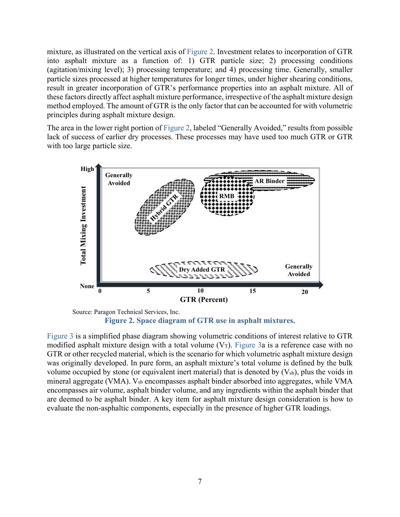mixture, as illustrated on the vertical axis of Figure 2. Investment relates to incorporation of GTR into asphalt mixture as a function of: 1) GTR particle size; 2) processing conditions (agitation/mixing level); 3) processing temperature; and 4) processing time. Generally, smaller particle sizes processed at higher temperatures for longer times, under higher shearing conditions, result in greater incorporation of GTR's performance properties into an asphalt mixture. All of these factors directly affect asphalt mixture performance, irrespective of the asphalt mixture design method employed. The amount of GTR is the only factor that can be accounted for with volumetric principles during asphalt mixture design.

The area in the lower right portion of Figure 2, labeled "Generally Avoided," results from possible lack of success of earlier dry processes. These processes may have used too much GTR or GTR with too large particle size.



Source: Paragon Technical Services, Inc. **Figure 2. Space diagram of GTR use in asphalt mixtures.** 

Figure 3 is a simplified phase diagram showing volumetric conditions of interest relative to GTR modified asphalt mixture design with a total volume  $(V_T)$ . Figure 3a is a reference case with no GTR or other recycled material, which is the scenario for which volumetric asphalt mixture design was originally developed. In pure form, an asphalt mixture's total volume is defined by the bulk volume occupied by stone (or equivalent inert material) that is denoted by  $(V_{sb})$ , plus the voids in mineral aggregate (VMA). Vsb encompasses asphalt binder absorbed into aggregates, while VMA encompasses air volume, asphalt binder volume, and any ingredients within the asphalt binder that are deemed to be asphalt binder. A key item for asphalt mixture design consideration is how to evaluate the non-asphaltic components, especially in the presence of higher GTR loadings.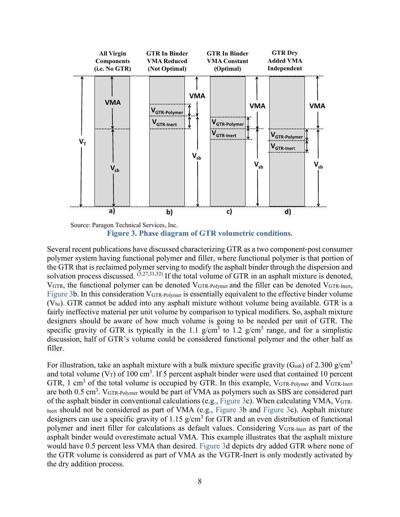

Source: Paragon Technical Services, Inc. **Figure 3. Phase diagram of GTR volumetric conditions.**

Several recent publications have discussed characterizing GTR as a two component-post consumer polymer system having functional polymer and filler, where functional polymer is that portion of the GTR that is reclaimed polymer serving to modify the asphalt binder through the dispersion and solvation process discussed.  $(3,27,31,32)$  If the total volume of GTR in an asphalt mixture is denoted, VGTR, the functional polymer can be denoted VGTR-Polymer and the filler can be denoted VGTR-Inert, Figure 3b. In this consideration VGTR-Polymer is essentially equivalent to the effective binder volume  $(V_{be})$ . GTR cannot be added into any asphalt mixture without volume being available. GTR is a fairly ineffective material per unit volume by comparison to typical modifiers. So, asphalt mixture designers should be aware of how much volume is going to be needed per unit of GTR. The specific gravity of GTR is typically in the 1.1 g/cm<sup>3</sup> to 1.2 g/cm<sup>3</sup> range, and for a simplistic discussion, half of GTR's volume could be considered functional polymer and the other half as filler.

For illustration, take an asphalt mixture with a bulk mixture specific gravity ( $G<sub>mb</sub>$ ) of 2.300 g/cm<sup>3</sup> and total volume (V<sub>T</sub>) of 100 cm<sup>3</sup>. If 5 percent asphalt binder were used that contained 10 percent GTR, 1 cm<sup>3</sup> of the total volume is occupied by GTR. In this example,  $V_{GTR-Polymer}$  and  $V_{GTR-Inert}$ are both  $0.5 \text{ cm}^3$ .  $V_{\text{GTR-Polymer}}$  would be part of VMA as polymers such as SBS are considered part of the asphalt binder in conventional calculations (e.g., Figure 3c). When calculating VMA,  $V_{\text{GTR}}$ -Inert should not be considered as part of VMA (e.g., Figure 3b and Figure 3c). Asphalt mixture designers can use a specific gravity of 1.15  $g/cm<sup>3</sup>$  for GTR and an even distribution of functional polymer and inert filler for calculations as default values. Considering VGTR-Inert as part of the asphalt binder would overestimate actual VMA. This example illustrates that the asphalt mixture would have 0.5 percent less VMA than desired. Figure 3d depicts dry added GTR where none of the GTR volume is considered as part of VMA as the VGTR-Inert is only modestly activated by the dry addition process.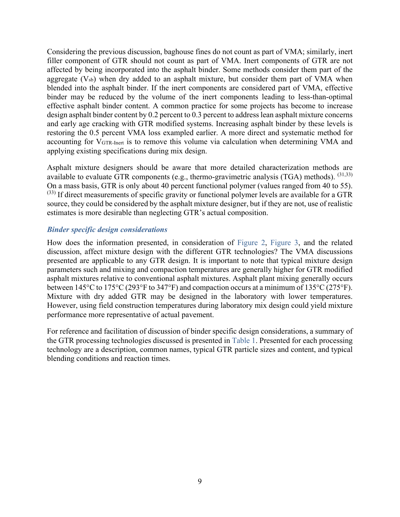Considering the previous discussion, baghouse fines do not count as part of VMA; similarly, inert filler component of GTR should not count as part of VMA. Inert components of GTR are not affected by being incorporated into the asphalt binder. Some methods consider them part of the aggregate  $(V_{sb})$  when dry added to an asphalt mixture, but consider them part of VMA when blended into the asphalt binder. If the inert components are considered part of VMA, effective binder may be reduced by the volume of the inert components leading to less-than-optimal effective asphalt binder content. A common practice for some projects has become to increase design asphalt binder content by 0.2 percent to 0.3 percent to address lean asphalt mixture concerns and early age cracking with GTR modified systems. Increasing asphalt binder by these levels is restoring the 0.5 percent VMA loss exampled earlier. A more direct and systematic method for accounting for VGTR-Inert is to remove this volume via calculation when determining VMA and applying existing specifications during mix design.

Asphalt mixture designers should be aware that more detailed characterization methods are available to evaluate GTR components (e.g., thermo-gravimetric analysis (TGA) methods).  $(31,33)$ On a mass basis, GTR is only about 40 percent functional polymer (values ranged from 40 to 55).  $^{(33)}$  If direct measurements of specific gravity or functional polymer levels are available for a GTR source, they could be considered by the asphalt mixture designer, but if they are not, use of realistic estimates is more desirable than neglecting GTR's actual composition.

#### *Binder specific design considerations*

How does the information presented, in consideration of Figure 2, Figure 3, and the related discussion, affect mixture design with the different GTR technologies? The VMA discussions presented are applicable to any GTR design. It is important to note that typical mixture design parameters such and mixing and compaction temperatures are generally higher for GTR modified asphalt mixtures relative to conventional asphalt mixtures. Asphalt plant mixing generally occurs between 145°C to 175°C (293°F to 347°F) and compaction occurs at a minimum of 135°C (275°F). Mixture with dry added GTR may be designed in the laboratory with lower temperatures. However, using field construction temperatures during laboratory mix design could yield mixture performance more representative of actual pavement.

For reference and facilitation of discussion of binder specific design considerations, a summary of the GTR processing technologies discussed is presented in Table 1. Presented for each processing technology are a description, common names, typical GTR particle sizes and content, and typical blending conditions and reaction times.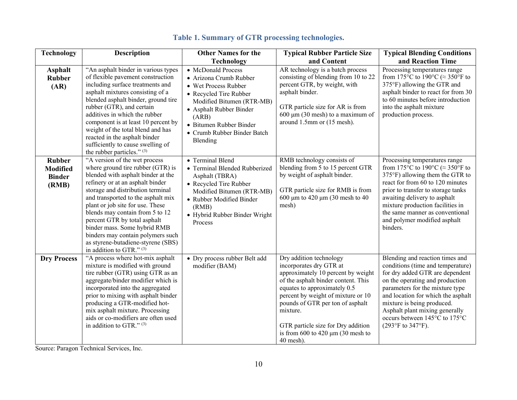| <b>Technology</b>                                          | <b>Description</b>                                                                                                                                                                                                                                                                                                                                                                                                                                                    | <b>Other Names for the</b>                                                                                                                                                                                                            | <b>Typical Rubber Particle Size</b>                                                                                                                                                                                                                                                                                                                  | <b>Typical Blending Conditions</b>                                                                                                                                                                                                                                                                                                        |
|------------------------------------------------------------|-----------------------------------------------------------------------------------------------------------------------------------------------------------------------------------------------------------------------------------------------------------------------------------------------------------------------------------------------------------------------------------------------------------------------------------------------------------------------|---------------------------------------------------------------------------------------------------------------------------------------------------------------------------------------------------------------------------------------|------------------------------------------------------------------------------------------------------------------------------------------------------------------------------------------------------------------------------------------------------------------------------------------------------------------------------------------------------|-------------------------------------------------------------------------------------------------------------------------------------------------------------------------------------------------------------------------------------------------------------------------------------------------------------------------------------------|
|                                                            |                                                                                                                                                                                                                                                                                                                                                                                                                                                                       | <b>Technology</b>                                                                                                                                                                                                                     | and Content                                                                                                                                                                                                                                                                                                                                          | and Reaction Time                                                                                                                                                                                                                                                                                                                         |
| <b>Asphalt</b><br><b>Rubber</b><br>(AR)                    | "An asphalt binder in various types<br>of flexible pavement construction<br>including surface treatments and<br>asphalt mixtures consisting of a<br>blended asphalt binder, ground tire<br>rubber (GTR), and certain<br>additives in which the rubber<br>component is at least 10 percent by<br>weight of the total blend and has<br>reacted in the asphalt binder<br>sufficiently to cause swelling of<br>the rubber particles." (3)                                 | • McDonald Process<br>· Arizona Crumb Rubber<br>• Wet Process Rubber<br>• Recycled Tire Rubber<br>Modified Bitumen (RTR-MB)<br>• Asphalt Rubber Binder<br>(ARB)<br>• Bitumen Rubber Binder<br>• Crumb Rubber Binder Batch<br>Blending | AR technology is a batch process<br>consisting of blending from 10 to 22<br>percent GTR, by weight, with<br>asphalt binder.<br>GTR particle size for AR is from<br>$600 \mu m$ (30 mesh) to a maximum of<br>around 1.5mm or (15 mesh).                                                                                                               | Processing temperatures range<br>from 175°C to 190°C ( $\approx$ 350°F to<br>375°F) allowing the GTR and<br>asphalt binder to react for from 30<br>to 60 minutes before introduction<br>into the asphalt mixture<br>production process.                                                                                                   |
| <b>Rubber</b><br><b>Modified</b><br><b>Binder</b><br>(RMB) | "A version of the wet process<br>where ground tire rubber (GTR) is<br>blended with asphalt binder at the<br>refinery or at an asphalt binder<br>storage and distribution terminal<br>and transported to the asphalt mix<br>plant or job site for use. These<br>blends may contain from 5 to 12<br>percent GTR by total asphalt<br>binder mass. Some hybrid RMB<br>binders may contain polymers such<br>as styrene-butadiene-styrene (SBS)<br>in addition to GTR." (3) | • Terminal Blend<br>• Terminal Blended Rubberized<br>Asphalt (TBRA)<br>• Recycled Tire Rubber<br>Modified Bitumen (RTR-MB)<br>• Rubber Modified Binder<br>(RMB)<br>· Hybrid Rubber Binder Wright<br>Process                           | RMB technology consists of<br>blending from 5 to 15 percent GTR<br>by weight of asphalt binder.<br>GTR particle size for RMB is from<br>600 $\mu$ m to 420 $\mu$ m (30 mesh to 40<br>mesh)                                                                                                                                                           | Processing temperatures range<br>from 175°C to 190°C ( $\approx$ 350°F to<br>375°F) allowing them the GTR to<br>react for from 60 to 120 minutes<br>prior to transfer to storage tanks<br>awaiting delivery to asphalt<br>mixture production facilities in<br>the same manner as conventional<br>and polymer modified asphalt<br>binders. |
| <b>Dry Process</b>                                         | "A process where hot-mix asphalt<br>mixture is modified with ground<br>tire rubber (GTR) using GTR as an<br>aggregate/binder modifier which is<br>incorporated into the aggregated<br>prior to mixing with asphalt binder<br>producing a GTR-modified hot-<br>mix asphalt mixture. Processing<br>aids or co-modifiers are often used<br>in addition to GTR." (3)                                                                                                      | • Dry process rubber Belt add<br>modifier (BAM)                                                                                                                                                                                       | Dry addition technology<br>incorporates dry GTR at<br>approximately 10 percent by weight<br>of the asphalt binder content. This<br>equates to approximately 0.5<br>percent by weight of mixture or 10<br>pounds of GTR per ton of asphalt<br>mixture.<br>GTR particle size for Dry addition<br>is from $600$ to $420 \mu m$ (30 mesh to<br>40 mesh). | Blending and reaction times and<br>conditions (time and temperature)<br>for dry added GTR are dependent<br>on the operating and production<br>parameters for the mixture type<br>and location for which the asphalt<br>mixture is being produced.<br>Asphalt plant mixing generally<br>occurs between 145°C to 175°C<br>(293°F to 347°F). |

## **Table 1. Summary of GTR processing technologies.**

Source: Paragon Technical Services, Inc.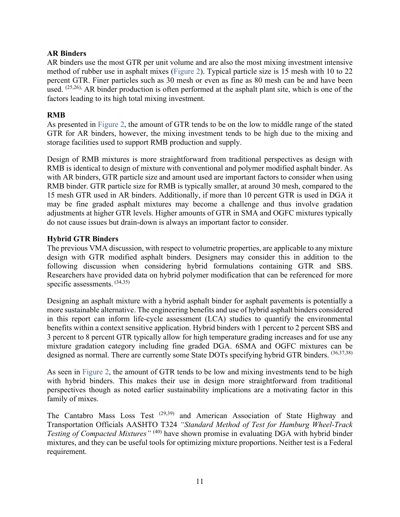#### **AR Binders**

AR binders use the most GTR per unit volume and are also the most mixing investment intensive method of rubber use in asphalt mixes (Figure 2). Typical particle size is 15 mesh with 10 to 22 percent GTR. Finer particles such as 30 mesh or even as fine as 80 mesh can be and have been used. (25,26), AR binder production is often performed at the asphalt plant site, which is one of the factors leading to its high total mixing investment.

#### **RMB**

As presented in Figure 2, the amount of GTR tends to be on the low to middle range of the stated GTR for AR binders, however, the mixing investment tends to be high due to the mixing and storage facilities used to support RMB production and supply.

Design of RMB mixtures is more straightforward from traditional perspectives as design with RMB is identical to design of mixture with conventional and polymer modified asphalt binder. As with AR binders, GTR particle size and amount used are important factors to consider when using RMB binder. GTR particle size for RMB is typically smaller, at around 30 mesh, compared to the 15 mesh GTR used in AR binders. Additionally, if more than 10 percent GTR is used in DGA it may be fine graded asphalt mixtures may become a challenge and thus involve gradation adjustments at higher GTR levels. Higher amounts of GTR in SMA and OGFC mixtures typically do not cause issues but drain-down is always an important factor to consider.

#### **Hybrid GTR Binders**

The previous VMA discussion, with respect to volumetric properties, are applicable to any mixture design with GTR modified asphalt binders. Designers may consider this in addition to the following discussion when considering hybrid formulations containing GTR and SBS. Researchers have provided data on hybrid polymer modification that can be referenced for more specific assessments.  $(34,35)$ 

Designing an asphalt mixture with a hybrid asphalt binder for asphalt pavements is potentially a more sustainable alternative. The engineering benefits and use of hybrid asphalt binders considered in this report can inform life-cycle assessment (LCA) studies to quantify the environmental benefits within a context sensitive application. Hybrid binders with 1 percent to 2 percent SBS and 3 percent to 8 percent GTR typically allow for high temperature grading increases and for use any mixture gradation category including fine graded DGA. 6SMA and OGFC mixtures can be designed as normal. There are currently some State DOTs specifying hybrid GTR binders. (36,37,38)

As seen in Figure 2, the amount of GTR tends to be low and mixing investments tend to be high with hybrid binders. This makes their use in design more straightforward from traditional perspectives though as noted earlier sustainability implications are a motivating factor in this family of mixes.

The Cantabro Mass Loss Test <sup>(29,39)</sup> and American Association of State Highway and Transportation Officials AASHTO T324 *"Standard Method of Test for Hamburg Wheel-Track Testing of Compacted Mixtures*<sup>" (40)</sup> have shown promise in evaluating DGA with hybrid binder mixtures, and they can be useful tools for optimizing mixture proportions. Neither test is a Federal requirement.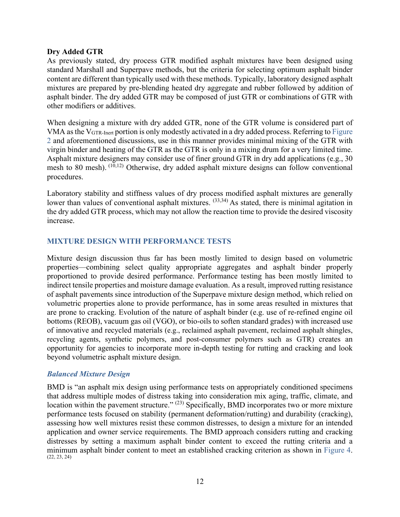#### **Dry Added GTR**

As previously stated, dry process GTR modified asphalt mixtures have been designed using standard Marshall and Superpave methods, but the criteria for selecting optimum asphalt binder content are different than typically used with these methods. Typically, laboratory designed asphalt mixtures are prepared by pre-blending heated dry aggregate and rubber followed by addition of asphalt binder. The dry added GTR may be composed of just GTR or combinations of GTR with other modifiers or additives.

When designing a mixture with dry added GTR, none of the GTR volume is considered part of VMA as the VGTR-Inert portion is only modestly activated in a dry added process. Referring to Figure 2 and aforementioned discussions, use in this manner provides minimal mixing of the GTR with virgin binder and heating of the GTR as the GTR is only in a mixing drum for a very limited time. Asphalt mixture designers may consider use of finer ground GTR in dry add applications (e.g., 30 mesh to 80 mesh). (10,12) Otherwise, dry added asphalt mixture designs can follow conventional procedures.

Laboratory stability and stiffness values of dry process modified asphalt mixtures are generally lower than values of conventional asphalt mixtures. <sup>(33,34)</sup> As stated, there is minimal agitation in the dry added GTR process, which may not allow the reaction time to provide the desired viscosity increase.

#### **MIXTURE DESIGN WITH PERFORMANCE TESTS**

Mixture design discussion thus far has been mostly limited to design based on volumetric properties—combining select quality appropriate aggregates and asphalt binder properly proportioned to provide desired performance. Performance testing has been mostly limited to indirect tensile properties and moisture damage evaluation. As a result, improved rutting resistance of asphalt pavements since introduction of the Superpave mixture design method, which relied on volumetric properties alone to provide performance, has in some areas resulted in mixtures that are prone to cracking. Evolution of the nature of asphalt binder (e.g. use of re-refined engine oil bottoms (REOB), vacuum gas oil (VGO), or bio-oils to soften standard grades) with increased use of innovative and recycled materials (e.g., reclaimed asphalt pavement, reclaimed asphalt shingles, recycling agents, synthetic polymers, and post-consumer polymers such as GTR) creates an opportunity for agencies to incorporate more in-depth testing for rutting and cracking and look beyond volumetric asphalt mixture design.

#### *Balanced Mixture Design*

BMD is "an asphalt mix design using performance tests on appropriately conditioned specimens that address multiple modes of distress taking into consideration mix aging, traffic, climate, and location within the pavement structure." <sup>(23)</sup> Specifically, BMD incorporates two or more mixture performance tests focused on stability (permanent deformation/rutting) and durability (cracking), assessing how well mixtures resist these common distresses, to design a mixture for an intended application and owner service requirements. The BMD approach considers rutting and cracking distresses by setting a maximum asphalt binder content to exceed the rutting criteria and a minimum asphalt binder content to meet an established cracking criterion as shown in Figure 4.  $(22, 23, 24)$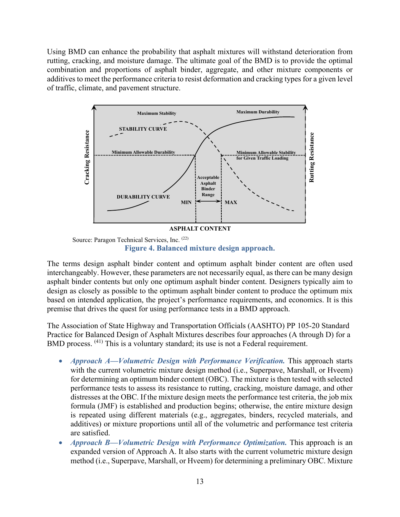Using BMD can enhance the probability that asphalt mixtures will withstand deterioration from rutting, cracking, and moisture damage. The ultimate goal of the BMD is to provide the optimal combination and proportions of asphalt binder, aggregate, and other mixture components or additives to meet the performance criteria to resist deformation and cracking types for a given level of traffic, climate, and pavement structure.



**Figure 4. Balanced mixture design approach.**

The terms design asphalt binder content and optimum asphalt binder content are often used interchangeably. However, these parameters are not necessarily equal, as there can be many design asphalt binder contents but only one optimum asphalt binder content. Designers typically aim to design as closely as possible to the optimum asphalt binder content to produce the optimum mix based on intended application, the project's performance requirements, and economics. It is this premise that drives the quest for using performance tests in a BMD approach.

The Association of State Highway and Transportation Officials (AASHTO) PP 105-20 Standard Practice for Balanced Design of Asphalt Mixtures describes four approaches (A through D) for a BMD process. <sup>(41)</sup> This is a voluntary standard; its use is not a Federal requirement.

- *Approach A—Volumetric Design with Performance Verification.* This approach starts with the current volumetric mixture design method (i.e., Superpave, Marshall, or Hveem) for determining an optimum binder content (OBC). The mixture is then tested with selected performance tests to assess its resistance to rutting, cracking, moisture damage, and other distresses at the OBC. If the mixture design meets the performance test criteria, the job mix formula (JMF) is established and production begins; otherwise, the entire mixture design is repeated using different materials (e.g., aggregates, binders, recycled materials, and additives) or mixture proportions until all of the volumetric and performance test criteria are satisfied.
- *Approach B—Volumetric Design with Performance Optimization.* This approach is an expanded version of Approach A. It also starts with the current volumetric mixture design method (i.e., Superpave, Marshall, or Hveem) for determining a preliminary OBC. Mixture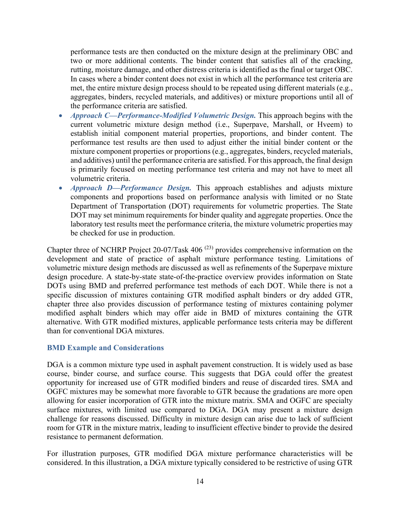performance tests are then conducted on the mixture design at the preliminary OBC and two or more additional contents. The binder content that satisfies all of the cracking, rutting, moisture damage, and other distress criteria is identified as the final or target OBC. In cases where a binder content does not exist in which all the performance test criteria are met, the entire mixture design process should to be repeated using different materials (e.g., aggregates, binders, recycled materials, and additives) or mixture proportions until all of the performance criteria are satisfied.

- *Approach C—Performance-Modified Volumetric Design.* This approach begins with the current volumetric mixture design method (i.e., Superpave, Marshall, or Hveem) to establish initial component material properties, proportions, and binder content. The performance test results are then used to adjust either the initial binder content or the mixture component properties or proportions (e.g., aggregates, binders, recycled materials, and additives) until the performance criteria are satisfied. For this approach, the final design is primarily focused on meeting performance test criteria and may not have to meet all volumetric criteria.
- *Approach D—Performance Design*. This approach establishes and adjusts mixture components and proportions based on performance analysis with limited or no State Department of Transportation (DOT) requirements for volumetric properties. The State DOT may set minimum requirements for binder quality and aggregate properties. Once the laboratory test results meet the performance criteria, the mixture volumetric properties may be checked for use in production.

Chapter three of NCHRP Project 20-07/Task 406 (23) provides comprehensive information on the development and state of practice of asphalt mixture performance testing. Limitations of volumetric mixture design methods are discussed as well as refinements of the Superpave mixture design procedure. A state-by-state state-of-the-practice overview provides information on State DOTs using BMD and preferred performance test methods of each DOT. While there is not a specific discussion of mixtures containing GTR modified asphalt binders or dry added GTR, chapter three also provides discussion of performance testing of mixtures containing polymer modified asphalt binders which may offer aide in BMD of mixtures containing the GTR alternative. With GTR modified mixtures, applicable performance tests criteria may be different than for conventional DGA mixtures.

#### **BMD Example and Considerations**

DGA is a common mixture type used in asphalt pavement construction. It is widely used as base course, binder course, and surface course. This suggests that DGA could offer the greatest opportunity for increased use of GTR modified binders and reuse of discarded tires. SMA and OGFC mixtures may be somewhat more favorable to GTR because the gradations are more open allowing for easier incorporation of GTR into the mixture matrix. SMA and OGFC are specialty surface mixtures, with limited use compared to DGA. DGA may present a mixture design challenge for reasons discussed. Difficulty in mixture design can arise due to lack of sufficient room for GTR in the mixture matrix, leading to insufficient effective binder to provide the desired resistance to permanent deformation.

For illustration purposes, GTR modified DGA mixture performance characteristics will be considered. In this illustration, a DGA mixture typically considered to be restrictive of using GTR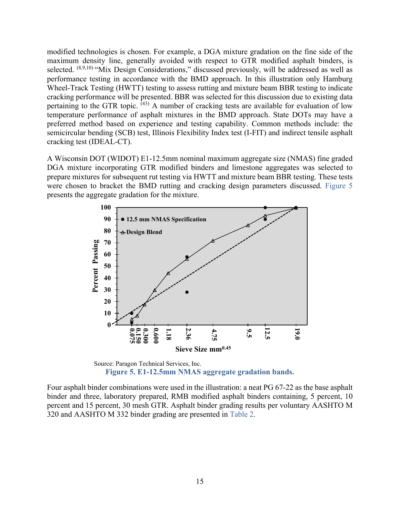modified technologies is chosen. For example, a DGA mixture gradation on the fine side of the maximum density line, generally avoided with respect to GTR modified asphalt binders, is selected. (8,9,10) "Mix Design Considerations," discussed previously, will be addressed as well as performance testing in accordance with the BMD approach. In this illustration only Hamburg Wheel-Track Testing (HWTT) testing to assess rutting and mixture beam BBR testing to indicate cracking performance will be presented. BBR was selected for this discussion due to existing data pertaining to the GTR topic. <sup>(43)</sup> A number of cracking tests are available for evaluation of low temperature performance of asphalt mixtures in the BMD approach. State DOTs may have a preferred method based on experience and testing capability. Common methods include: the semicircular bending (SCB) test, Illinois Flexibility Index test (I-FIT) and indirect tensile asphalt cracking test (IDEAL-CT).

A Wisconsin DOT (WIDOT) E1-12.5mm nominal maximum aggregate size (NMAS) fine graded DGA mixture incorporating GTR modified binders and limestone aggregates was selected to prepare mixtures for subsequent rut testing via HWTT and mixture beam BBR testing. These tests were chosen to bracket the BMD rutting and cracking design parameters discussed. Figure 5 presents the aggregate gradation for the mixture.



Source: Paragon Technical Services, Inc. **Figure 5. E1-12.5mm NMAS aggregate gradation bands.** 

Four asphalt binder combinations were used in the illustration: a neat PG 67-22 as the base asphalt binder and three, laboratory prepared, RMB modified asphalt binders containing, 5 percent, 10 percent and 15 percent, 30 mesh GTR. Asphalt binder grading results per voluntary AASHTO M 320 and AASHTO M 332 binder grading are presented in Table 2.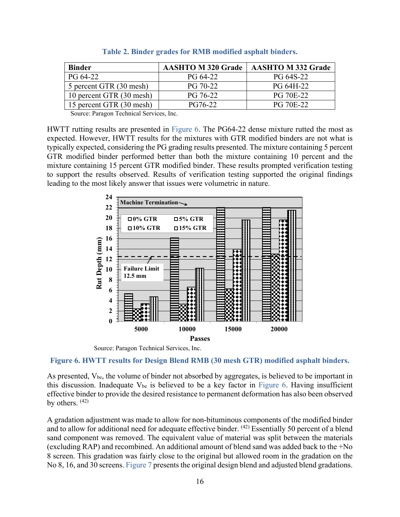| <b>Binder</b>            | <b>AASHTO M 320 Grade</b> | <b>AASHTO M 332 Grade</b> |
|--------------------------|---------------------------|---------------------------|
| PG 64-22                 | PG 64-22                  | PG 64S-22                 |
| 5 percent GTR (30 mesh)  | PG 70-22                  | PG 64H-22                 |
| 10 percent GTR (30 mesh) | PG 76-22                  | PG 70E-22                 |
| 15 percent GTR (30 mesh) | PG76-22                   | <b>PG 70E-22</b>          |

HWTT rutting results are presented in Figure 6. The PG64-22 dense mixture rutted the most as expected. However, HWTT results for the mixtures with GTR modified binders are not what is typically expected, considering the PG grading results presented. The mixture containing 5 percent GTR modified binder performed better than both the mixture containing 10 percent and the mixture containing 15 percent GTR modified binder. These results prompted verification testing to support the results observed. Results of verification testing supported the original findings leading to the most likely answer that issues were volumetric in nature.



Source: Paragon Technical Services, Inc.

**Figure 6. HWTT results for Design Blend RMB (30 mesh GTR) modified asphalt binders.** 

As presented,  $V_{be}$ , the volume of binder not absorbed by aggregates, is believed to be important in this discussion. Inadequate  $V_{be}$  is believed to be a key factor in Figure 6. Having insufficient effective binder to provide the desired resistance to permanent deformation has also been observed by others.  $(42)$ 

A gradation adjustment was made to allow for non-bituminous components of the modified binder and to allow for additional need for adequate effective binder. (42) Essentially 50 percent of a blend sand component was removed. The equivalent value of material was split between the materials (excluding RAP) and recombined. An additional amount of blend sand was added back to the +No 8 screen. This gradation was fairly close to the original but allowed room in the gradation on the No 8, 16, and 30 screens. Figure 7 presents the original design blend and adjusted blend gradations.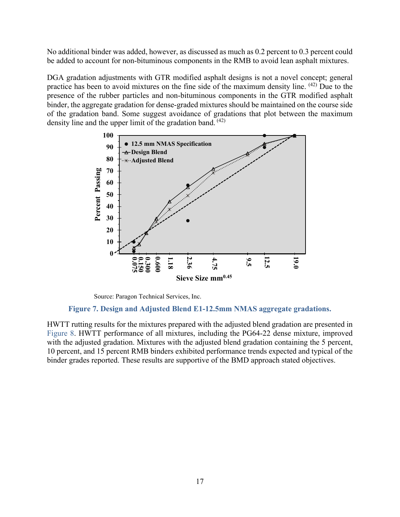No additional binder was added, however, as discussed as much as 0.2 percent to 0.3 percent could be added to account for non-bituminous components in the RMB to avoid lean asphalt mixtures.

DGA gradation adjustments with GTR modified asphalt designs is not a novel concept; general practice has been to avoid mixtures on the fine side of the maximum density line. (42) Due to the presence of the rubber particles and non-bituminous components in the GTR modified asphalt binder, the aggregate gradation for dense-graded mixtures should be maintained on the course side of the gradation band. Some suggest avoidance of gradations that plot between the maximum density line and the upper limit of the gradation band. <sup>(42)</sup>

![](_page_25_Figure_2.jpeg)

Source: Paragon Technical Services, Inc.

#### **Figure 7. Design and Adjusted Blend E1-12.5mm NMAS aggregate gradations.**

HWTT rutting results for the mixtures prepared with the adjusted blend gradation are presented in Figure 8. HWTT performance of all mixtures, including the PG64-22 dense mixture, improved with the adjusted gradation. Mixtures with the adjusted blend gradation containing the 5 percent, 10 percent, and 15 percent RMB binders exhibited performance trends expected and typical of the binder grades reported. These results are supportive of the BMD approach stated objectives.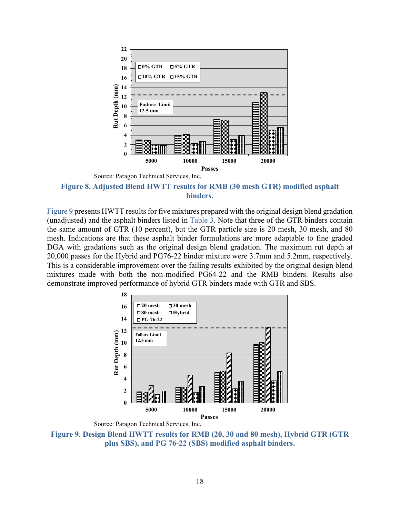| $\blacksquare$ 0% GTR           |       |                                                   |               |
|---------------------------------|-------|---------------------------------------------------|---------------|
| <b>Failure Limit</b><br>12.5 mm |       |                                                   |               |
| 5000                            | 10000 | 15000                                             | 20000         |
|                                 |       | $\blacksquare$ 5% GTR<br><b>■10% GTR ■15% GTR</b> | <b>Passes</b> |

Source: Paragon Technical Services, Inc.

**Figure 8. Adjusted Blend HWTT results for RMB (30 mesh GTR) modified asphalt binders.** 

Figure 9 presents HWTT results for five mixtures prepared with the original design blend gradation (unadjusted) and the asphalt binders listed in Table 3. Note that three of the GTR binders contain the same amount of GTR (10 percent), but the GTR particle size is 20 mesh, 30 mesh, and 80 mesh. Indications are that these asphalt binder formulations are more adaptable to fine graded DGA with gradations such as the original design blend gradation. The maximum rut depth at 20,000 passes for the Hybrid and PG76-22 binder mixture were 3.7mm and 5.2mm, respectively. This is a considerable improvement over the failing results exhibited by the original design blend mixtures made with both the non-modified PG64-22 and the RMB binders. Results also demonstrate improved performance of hybrid GTR binders made with GTR and SBS.

![](_page_26_Figure_4.jpeg)

Source: Paragon Technical Services, Inc.

**Figure 9. Design Blend HWTT results for RMB (20, 30 and 80 mesh), Hybrid GTR (GTR plus SBS), and PG 76-22 (SBS) modified asphalt binders.**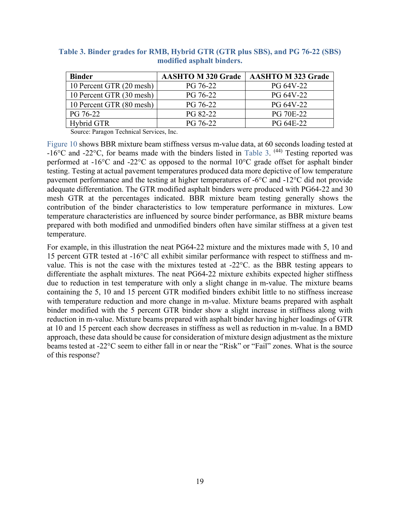| <b>Binder</b>            | <b>AASHTO M 320 Grade</b> | <b>AASHTO M 323 Grade</b> |
|--------------------------|---------------------------|---------------------------|
| 10 Percent GTR (20 mesh) | PG 76-22                  | PG 64V-22                 |
| 10 Percent GTR (30 mesh) | PG 76-22                  | PG 64V-22                 |
| 10 Percent GTR (80 mesh) | PG 76-22                  | PG 64V-22                 |
| PG 76-22                 | PG 82-22                  | <b>PG 70E-22</b>          |
| Hybrid GTR               | PG 76-22                  | PG 64E-22                 |

**Table 3. Binder grades for RMB, Hybrid GTR (GTR plus SBS), and PG 76-22 (SBS) modified asphalt binders.**

Figure 10 shows BBR mixture beam stiffness versus m-value data, at 60 seconds loading tested at  $-16^{\circ}$ C and  $-22^{\circ}$ C, for beams made with the binders listed in Table 3. <sup>(44)</sup> Testing reported was performed at -16°C and -22°C as opposed to the normal 10°C grade offset for asphalt binder testing. Testing at actual pavement temperatures produced data more depictive of low temperature pavement performance and the testing at higher temperatures of -6°C and -12°C did not provide adequate differentiation. The GTR modified asphalt binders were produced with PG64-22 and 30 mesh GTR at the percentages indicated. BBR mixture beam testing generally shows the contribution of the binder characteristics to low temperature performance in mixtures. Low temperature characteristics are influenced by source binder performance, as BBR mixture beams prepared with both modified and unmodified binders often have similar stiffness at a given test temperature.

For example, in this illustration the neat PG64-22 mixture and the mixtures made with 5, 10 and 15 percent GTR tested at -16°C all exhibit similar performance with respect to stiffness and mvalue. This is not the case with the mixtures tested at -22°C. as the BBR testing appears to differentiate the asphalt mixtures. The neat PG64-22 mixture exhibits expected higher stiffness due to reduction in test temperature with only a slight change in m-value. The mixture beams containing the 5, 10 and 15 percent GTR modified binders exhibit little to no stiffness increase with temperature reduction and more change in m-value. Mixture beams prepared with asphalt binder modified with the 5 percent GTR binder show a slight increase in stiffness along with reduction in m-value. Mixture beams prepared with asphalt binder having higher loadings of GTR at 10 and 15 percent each show decreases in stiffness as well as reduction in m-value. In a BMD approach, these data should be cause for consideration of mixture design adjustment as the mixture beams tested at -22°C seem to either fall in or near the "Risk" or "Fail" zones. What is the source of this response?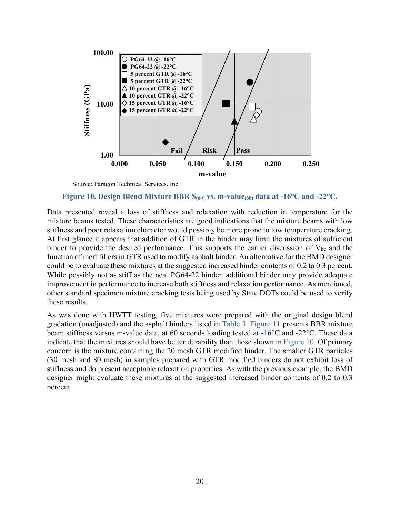![](_page_28_Figure_0.jpeg)

#### **Figure 10. Design Blend Mixture BBR S(60) vs. m-value(60) data at -16°C and -22°C.**

Data presented reveal a loss of stiffness and relaxation with reduction in temperature for the mixture beams tested. These characteristics are good indications that the mixture beams with low stiffness and poor relaxation character would possibly be more prone to low temperature cracking. At first glance it appears that addition of GTR in the binder may limit the mixtures of sufficient binder to provide the desired performance. This supports the earlier discussion of  $V_{be}$  and the function of inert fillers in GTR used to modify asphalt binder. An alternative for the BMD designer could be to evaluate these mixtures at the suggested increased binder contents of 0.2 to 0.3 percent. While possibly not as stiff as the neat PG64-22 binder, additional binder may provide adequate improvement in performance to increase both stiffness and relaxation performance. As mentioned, other standard specimen mixture cracking tests being used by State DOTs could be used to verify these results.

As was done with HWTT testing, five mixtures were prepared with the original design blend gradation (unadjusted) and the asphalt binders listed in Table 3. Figure 11 presents BBR mixture beam stiffness versus m-value data, at 60 seconds loading tested at -16°C and -22°C. These data indicate that the mixtures should have better durability than those shown in Figure 10. Of primary concern is the mixture containing the 20 mesh GTR modified binder. The smaller GTR particles (30 mesh and 80 mesh) in samples prepared with GTR modified binders do not exhibit loss of stiffness and do present acceptable relaxation properties. As with the previous example, the BMD designer might evaluate these mixtures at the suggested increased binder contents of 0.2 to 0.3 percent.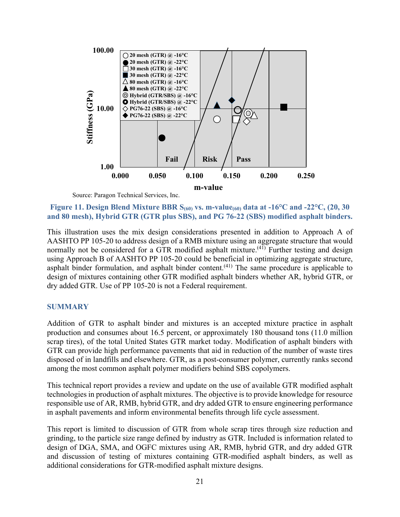![](_page_29_Figure_0.jpeg)

Figure 11. Design Blend Mixture BBR S<sub>(60)</sub> vs. m-value<sub>(60)</sub> data at -16<sup>o</sup>C and -22<sup>o</sup>C, (20, 30 **and 80 mesh), Hybrid GTR (GTR plus SBS), and PG 76-22 (SBS) modified asphalt binders.** 

This illustration uses the mix design considerations presented in addition to Approach A of AASHTO PP 105-20 to address design of a RMB mixture using an aggregate structure that would normally not be considered for a GTR modified asphalt mixture.<sup> $(41)$ </sup> Further testing and design using Approach B of AASHTO PP 105-20 could be beneficial in optimizing aggregate structure, asphalt binder formulation, and asphalt binder content.<sup> $(41)$ </sup> The same procedure is applicable to design of mixtures containing other GTR modified asphalt binders whether AR, hybrid GTR, or dry added GTR. Use of PP 105-20 is not a Federal requirement.

#### **SUMMARY**

Addition of GTR to asphalt binder and mixtures is an accepted mixture practice in asphalt production and consumes about 16.5 percent, or approximately 180 thousand tons (11.0 million scrap tires), of the total United States GTR market today. Modification of asphalt binders with GTR can provide high performance pavements that aid in reduction of the number of waste tires disposed of in landfills and elsewhere. GTR, as a post-consumer polymer, currently ranks second among the most common asphalt polymer modifiers behind SBS copolymers.

This technical report provides a review and update on the use of available GTR modified asphalt technologies in production of asphalt mixtures. The objective is to provide knowledge for resource responsible use of AR, RMB, hybrid GTR, and dry added GTR to ensure engineering performance in asphalt pavements and inform environmental benefits through life cycle assessment.

This report is limited to discussion of GTR from whole scrap tires through size reduction and grinding, to the particle size range defined by industry as GTR. Included is information related to design of DGA, SMA, and OGFC mixtures using AR, RMB, hybrid GTR, and dry added GTR and discussion of testing of mixtures containing GTR-modified asphalt binders, as well as additional considerations for GTR-modified asphalt mixture designs.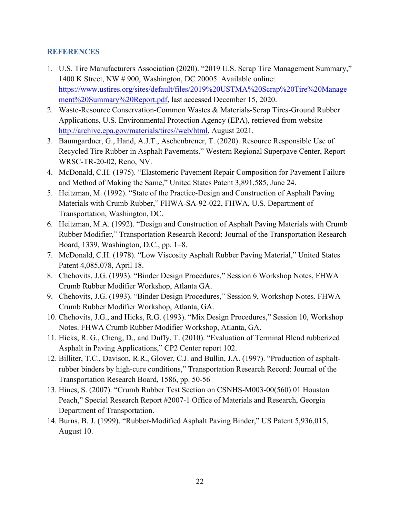#### **REFERENCES**

- 1. U.S. Tire Manufacturers Association (2020). "2019 U.S. Scrap Tire Management Summary," 1400 K Street, NW # 900, Washington, DC 20005. Available online: [https://www.ustires.org/sites/default/files/2019%20USTMA%20Scrap%20Tire%20Manage](https://www.ustires.org/sites/default/files/2019%20USTMA%20Scrap%20Tire%20Management%20Summary%20Report.pdf) [ment%20Summary%20Report.pdf,](https://www.ustires.org/sites/default/files/2019%20USTMA%20Scrap%20Tire%20Management%20Summary%20Report.pdf) last accessed December 15, 2020.
- 2. Waste-Resource Conservation-Common Wastes & Materials-Scrap Tires-Ground Rubber Applications, U.S. Environmental Protection Agency (EPA), retrieved from website [http://archive.epa.gov/materials/tires//web/html,](http://archive.epa.gov/materials/tires/web/html) August 2021.
- 3. Baumgardner, G., Hand, A.J.T., Aschenbrener, T. (2020). Resource Responsible Use of Recycled Tire Rubber in Asphalt Pavements." Western Regional Superpave Center, Report WRSC-TR-20-02, Reno, NV.
- 4. McDonald, C.H. (1975). "Elastomeric Pavement Repair Composition for Pavement Failure and Method of Making the Same," United States Patent 3,891,585, June 24.
- 5. Heitzman, M. (1992). "State of the Practice-Design and Construction of Asphalt Paving Materials with Crumb Rubber," FHWA-SA-92-022, FHWA, U.S. Department of Transportation, Washington, DC.
- 6. Heitzman, M.A. (1992). "Design and Construction of Asphalt Paving Materials with Crumb Rubber Modifier," Transportation Research Record: Journal of the Transportation Research Board, 1339, Washington, D.C., pp. 1–8.
- 7. McDonald, C.H. (1978). "Low Viscosity Asphalt Rubber Paving Material," United States Patent 4,085,078, April 18.
- 8. Chehovits, J.G. (1993). "Binder Design Procedures," Session 6 Workshop Notes, FHWA Crumb Rubber Modifier Workshop, Atlanta GA.
- 9. Chehovits, J.G. (1993). "Binder Design Procedures," Session 9, Workshop Notes. FHWA Crumb Rubber Modifier Workshop, Atlanta, GA.
- 10. Chehovits, J.G., and Hicks, R.G. (1993). "Mix Design Procedures," Session 10, Workshop Notes. FHWA Crumb Rubber Modifier Workshop, Atlanta, GA.
- 11. Hicks, R. G., Cheng, D., and Duffy, T. (2010). "Evaluation of Terminal Blend rubberized Asphalt in Paving Applications," CP2 Center report 102.
- 12. Billiter, T.C., Davison, R.R., Glover, C.J. and Bullin, J.A. (1997). "Production of asphaltrubber binders by high-cure conditions," Transportation Research Record: Journal of the Transportation Research Board, 1586, pp. 50-56
- 13. Hines, S. (2007). "Crumb Rubber Test Section on CSNHS-M003-00(560) 01 Houston Peach," Special Research Report #2007-1 Office of Materials and Research, Georgia Department of Transportation.
- 14. Burns, B. J. (1999). "Rubber-Modified Asphalt Paving Binder," US Patent 5,936,015, August 10.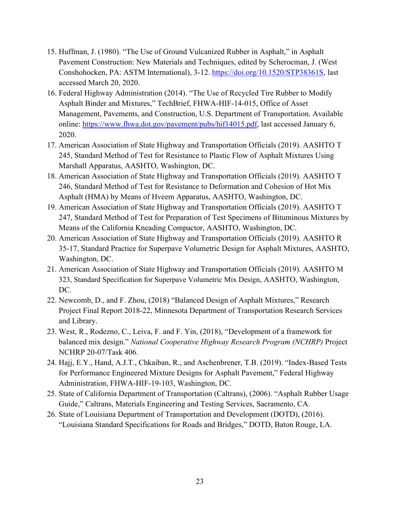- 15. Huffman, J. (1980). "The Use of Ground Vulcanized Rubber in Asphalt," in Asphalt Pavement Construction: New Materials and Techniques, edited by Scherocman, J. (West Conshohocken, PA: ASTM International), 3-12. [https://doi.org/10.1520/STP38361S,](https://doi.org/10.1520/STP38361S) last accessed March 20, 2020.
- 16. Federal Highway Administration (2014). "The Use of Recycled Tire Rubber to Modify Asphalt Binder and Mixtures," TechBrief, FHWA-HIF-14-015, Office of Asset Management, Pavements, and Construction, U.S. Department of Transportation. Available online: [https://www.fhwa.dot.gov/pavement/pubs/hif14015.pdf,](https://www.fhwa.dot.gov/pavement/pubs/hif14015.pdf) last accessed January 6, 2020.
- 17. American Association of State Highway and Transportation Officials (2019). AASHTO T 245, Standard Method of Test for Resistance to Plastic Flow of Asphalt Mixtures Using Marshall Apparatus, AASHTO, Washington, DC.
- 18. American Association of State Highway and Transportation Officials (2019). AASHTO T 246, Standard Method of Test for Resistance to Deformation and Cohesion of Hot Mix Asphalt (HMA) by Means of Hveem Apparatus, AASHTO, Washington, DC.
- 19. American Association of State Highway and Transportation Officials (2019). AASHTO T 247, Standard Method of Test for Preparation of Test Specimens of Bituminous Mixtures by Means of the California Kneading Compactor, AASHTO, Washington, DC.
- 20. American Association of State Highway and Transportation Officials (2019). AASHTO R 35-17, Standard Practice for Superpave Volumetric Design for Asphalt Mixtures, AASHTO, Washington, DC.
- 21. American Association of State Highway and Transportation Officials (2019). AASHTO M 323, Standard Specification for Superpave Volumetric Mix Design, AASHTO, Washington, DC.
- 22. Newcomb, D., and F. Zhou, (2018) "Balanced Design of Asphalt Mixtures," Research Project Final Report 2018-22, Minnesota Department of Transportation Research Services and Library.
- 23. West, R., Rodezno, C., Leiva, F. and F. Yin, (2018), "Development of a framework for balanced mix design." *National Cooperative Highway Research Program (NCHRP)* Project NCHRP 20-07/Task 406.
- 24. Hajj, E.Y., Hand, A.J.T., Chkaiban, R., and Aschenbrener, T.B. (2019). "Index-Based Tests for Performance Engineered Mixture Designs for Asphalt Pavement," Federal Highway Administration, FHWA-HIF-19-103, Washington, DC.
- 25. State of California Department of Transportation (Caltrans), (2006). "Asphalt Rubber Usage Guide," Caltrans, Materials Engineering and Testing Services, Sacramento, CA.
- 26. State of Louisiana Department of Transportation and Development (DOTD), (2016). "Louisiana Standard Specifications for Roads and Bridges," DOTD, Baton Rouge, LA.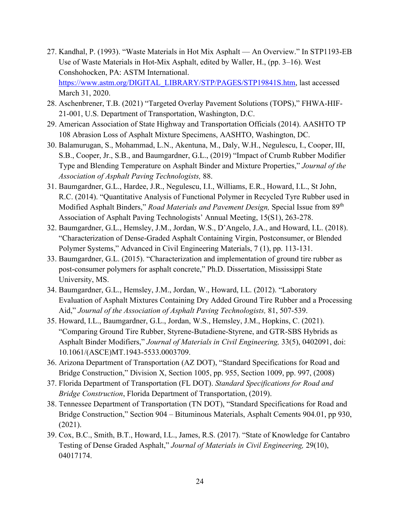- 27. Kandhal, P. (1993). "Waste Materials in Hot Mix Asphalt An Overview." In STP1193-EB Use of Waste Materials in Hot-Mix Asphalt, edited by Waller, H., (pp. 3–16). West Conshohocken, PA: ASTM International. [https://www.astm.org/DIGITAL\\_LIBRARY/STP/PAGES/STP19841S.htm,](https://www.astm.org/DIGITAL_LIBRARY/STP/PAGES/STP19841S.htm) last accessed March 31, 2020.
- 28. Aschenbrener, T.B. (2021) "Targeted Overlay Pavement Solutions (TOPS)," FHWA-HIF-21-001, U.S. Department of Transportation, Washington, D.C.
- 29. American Association of State Highway and Transportation Officials (2014). AASHTO TP 108 Abrasion Loss of Asphalt Mixture Specimens, AASHTO, Washington, DC.
- 30. Balamurugan, S., Mohammad, L.N., Akentuna, M., Daly, W.H., Negulescu, I., Cooper, III, S.B., Cooper, Jr., S.B., and Baumgardner, G.L., (2019) "Impact of Crumb Rubber Modifier Type and Blending Temperature on Asphalt Binder and Mixture Properties," *Journal of the Association of Asphalt Paving Technologists,* 88.
- 31. Baumgardner, G.L., Hardee, J.R., Negulescu, I.I., Williams, E.R., Howard, I.L., St John, R.C. (2014). "Quantitative Analysis of Functional Polymer in Recycled Tyre Rubber used in Modified Asphalt Binders," *Road Materials and Pavement Design,* Special Issue from 89th Association of Asphalt Paving Technologists' Annual Meeting, 15(S1), 263-278.
- 32. Baumgardner, G.L., Hemsley, J.M., Jordan, W.S., D'Angelo, J.A., and Howard, I.L. (2018). "Characterization of Dense-Graded Asphalt Containing Virgin, Postconsumer, or Blended Polymer Systems," Advanced in Civil Engineering Materials, 7 (1), pp. 113-131.
- 33. Baumgardner, G.L. (2015). "Characterization and implementation of ground tire rubber as post-consumer polymers for asphalt concrete," Ph.D. Dissertation, Mississippi State University, MS.
- 34. Baumgardner, G.L., Hemsley, J.M., Jordan, W., Howard, I.L. (2012). "Laboratory Evaluation of Asphalt Mixtures Containing Dry Added Ground Tire Rubber and a Processing Aid," *Journal of the Association of Asphalt Paving Technologists,* 81, 507-539.
- 35. Howard, I.L., Baumgardner, G.L., Jordan, W.S., Hemsley, J.M., Hopkins, C. (2021). "Comparing Ground Tire Rubber, Styrene-Butadiene-Styrene, and GTR-SBS Hybrids as Asphalt Binder Modifiers," *Journal of Materials in Civil Engineering,* 33(5), 0402091, doi: 10.1061/(ASCE)MT.1943-5533.0003709.
- 36. Arizona Department of Transportation (AZ DOT), "Standard Specifications for Road and Bridge Construction," Division X, Section 1005, pp. 955, Section 1009, pp. 997, (2008)
- 37. Florida Department of Transportation (FL DOT). *Standard Specifications for Road and Bridge Construction*, Florida Department of Transportation, (2019).
- 38. Tennessee Department of Transportation (TN DOT), "Standard Specifications for Road and Bridge Construction," Section 904 – Bituminous Materials, Asphalt Cements 904.01, pp 930, (2021).
- 39. Cox, B.C., Smith, B.T., Howard, I.L., James, R.S. (2017). "State of Knowledge for Cantabro Testing of Dense Graded Asphalt," *Journal of Materials in Civil Engineering,* 29(10), 04017174.